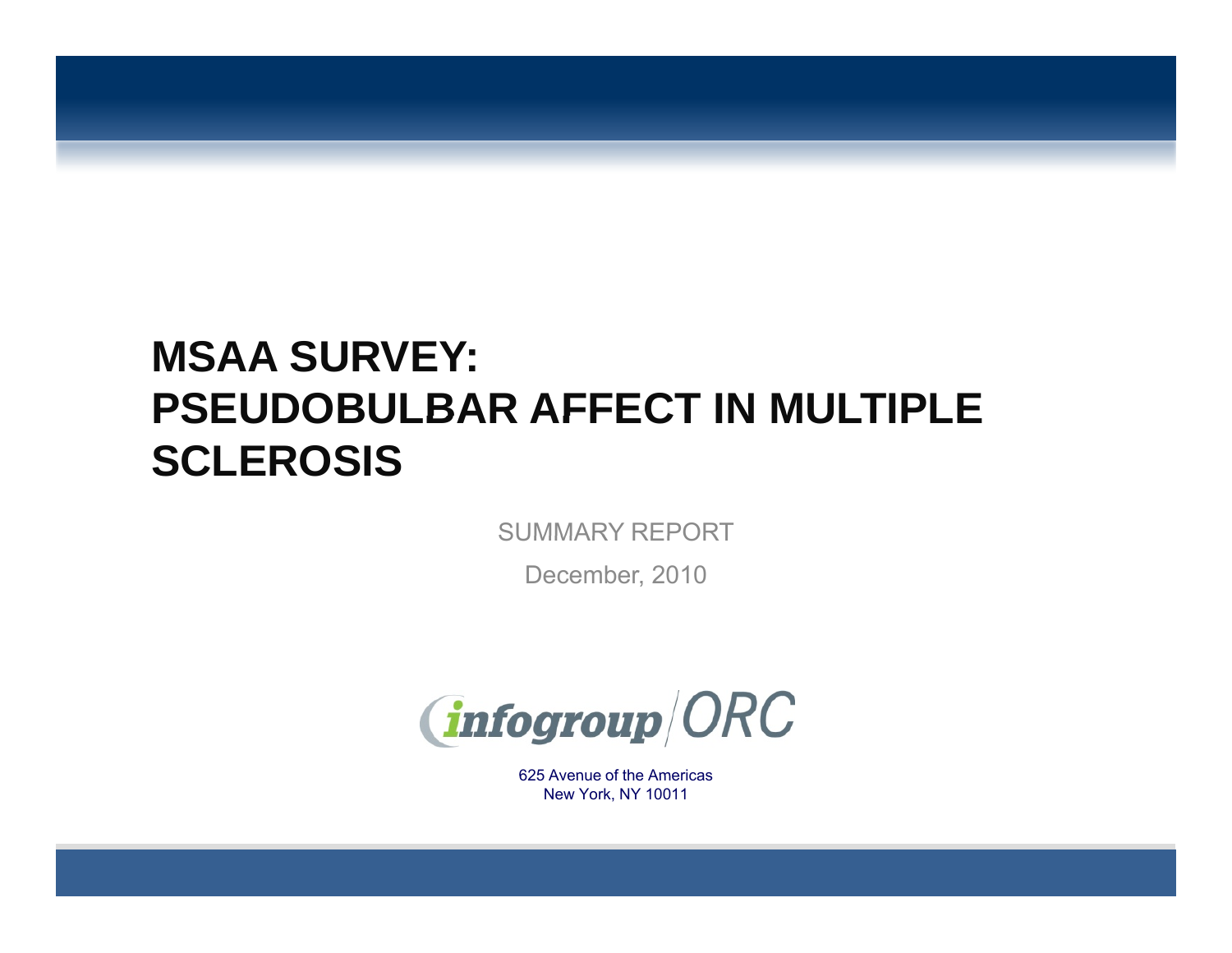# **MSAA SURVEY: PSEUDOBULBAR AFFECT IN MULTIPLESCLEROSIS**

SUMMARY REPORT

December, 2010



625 Avenue of the Americas. . . . . . . . . . . . New York, NY 10011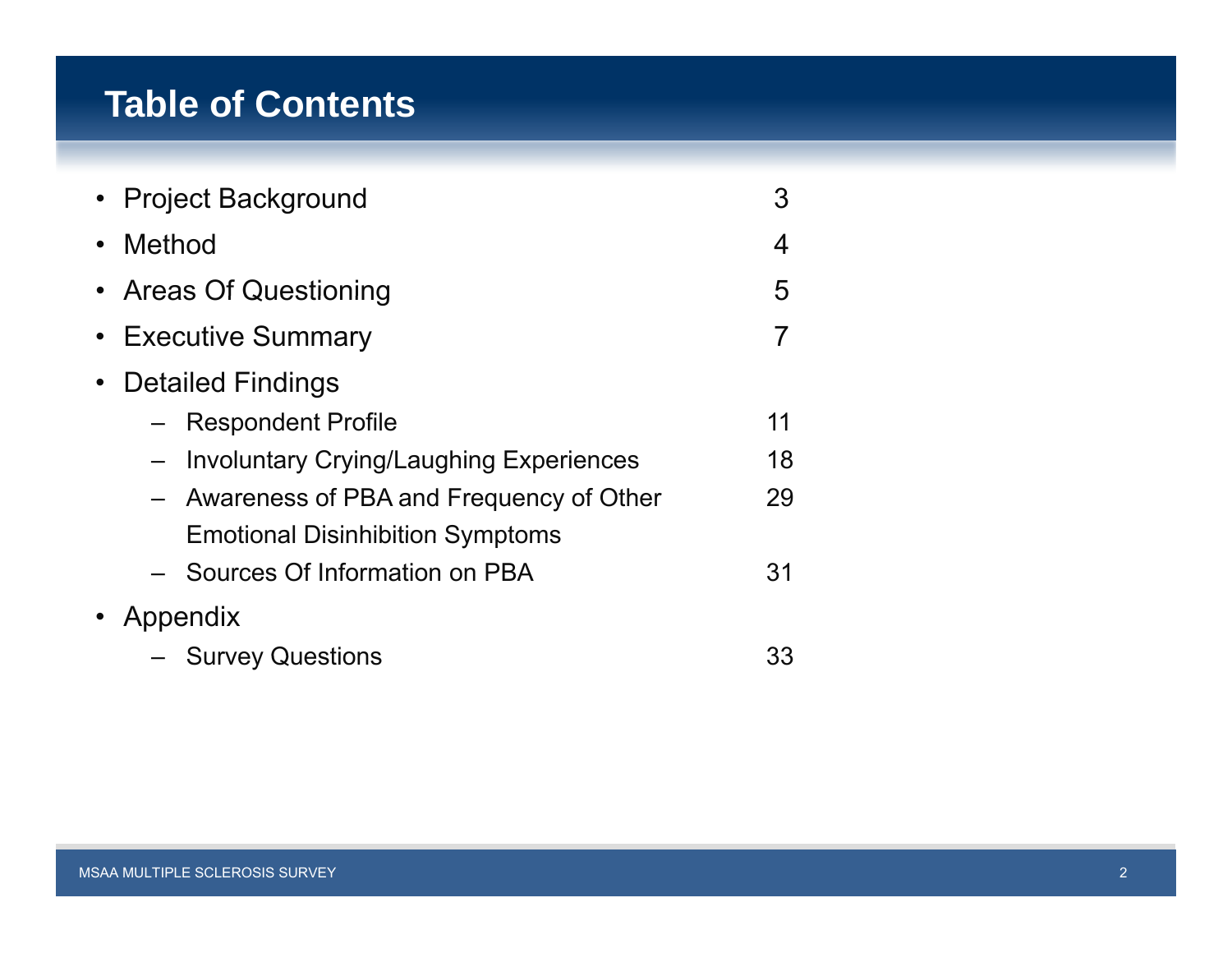## **Table of Contents**

|           | • Project Background                           | 3  |
|-----------|------------------------------------------------|----|
|           | • Method                                       | 4  |
|           | • Areas Of Questioning                         | 5  |
|           | • Executive Summary                            |    |
| $\bullet$ | <b>Detailed Findings</b>                       |    |
|           | <b>Respondent Profile</b>                      | 11 |
|           | <b>Involuntary Crying/Laughing Experiences</b> | 18 |
|           | - Awareness of PBA and Frequency of Other      | 29 |
|           | <b>Emotional Disinhibition Symptoms</b>        |    |
|           | - Sources Of Information on PBA                | 31 |
|           |                                                |    |
|           | - Survey Questions                             | 33 |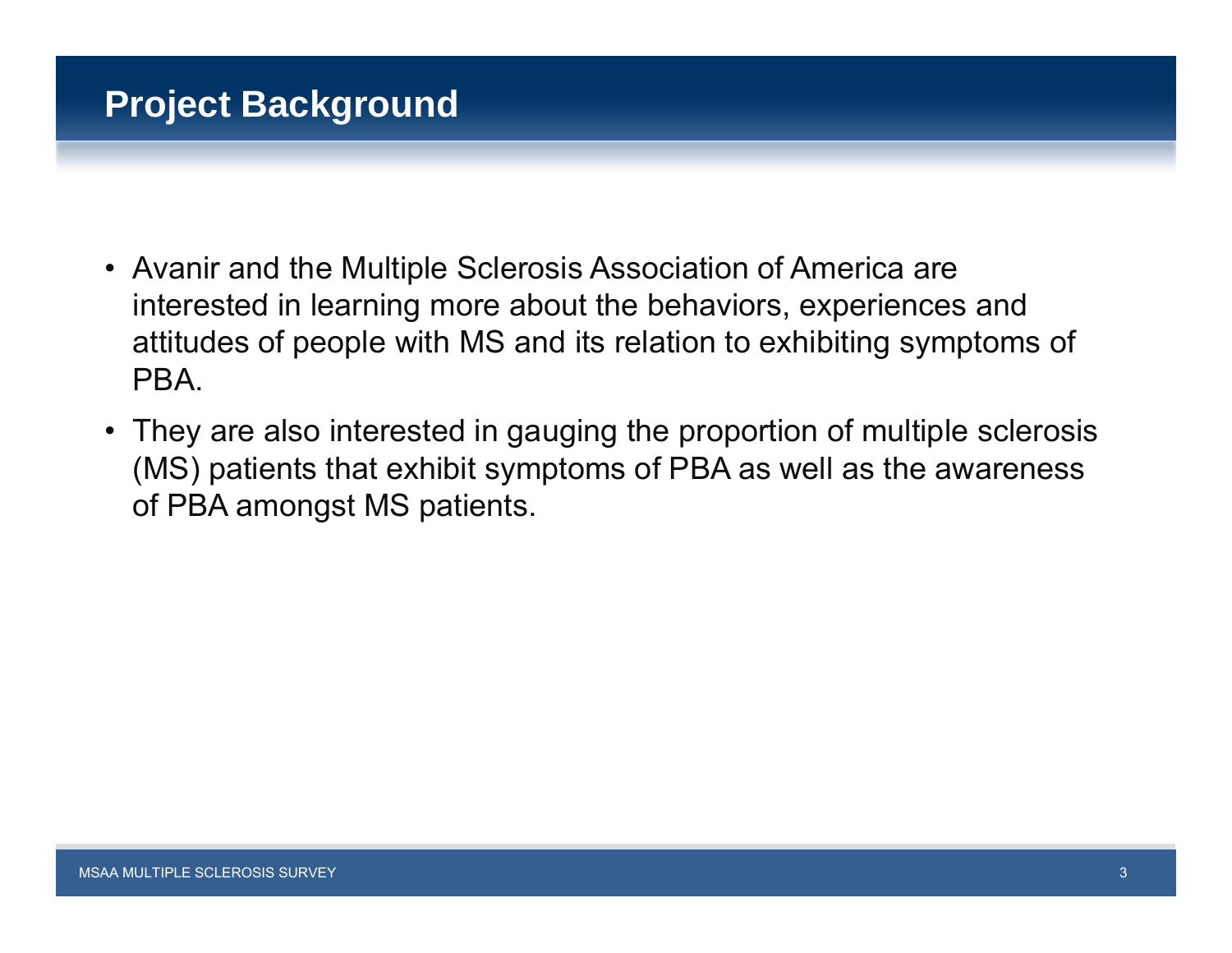## **Project Background**

- Avanir and the Multiple Sclerosis Association of America are interested in learning more about the behaviors, experiences and attitudes of people with MS and its relation to exhibiting symptoms of PBA.
- They are also interested in gauging the proportion of multiple sclerosis (MS) patients that exhibit symptoms of PBA as well as the awareness of PBA amongst MS patients.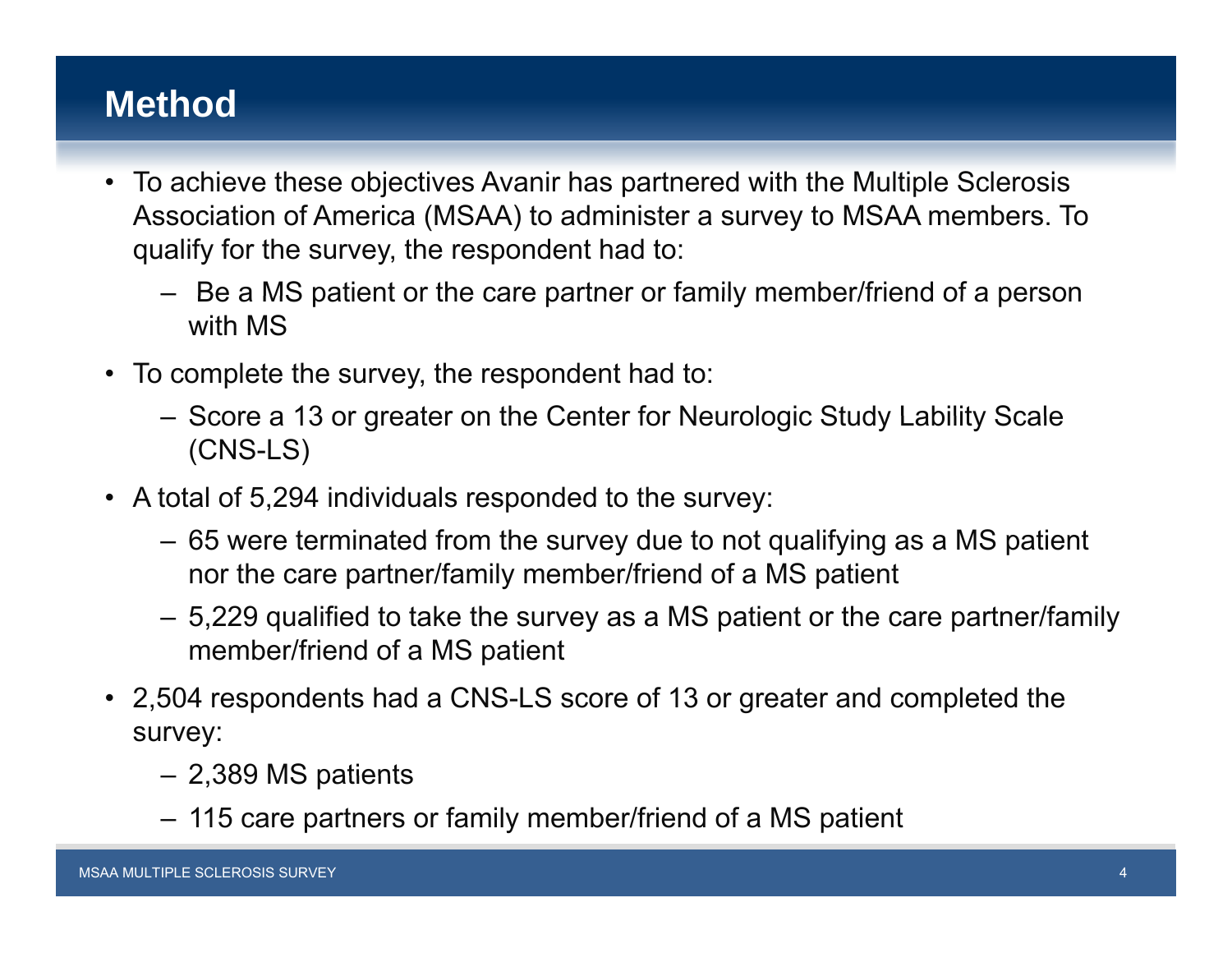## **Method**

- To achieve these objectives Avanir has partnered with the Multiple Sclerosis Association of America (MSAA) to administer a survey to MSAA members. To qualify for the survey, the respondent had to:
	- Be <sup>a</sup> MS patient or the care partner or family member/friend of <sup>a</sup> person with MS
- To complete the survey, the respondent had to:
	- Score <sup>a</sup> 13 or greater on the Center for Neurologic Study Lability Scale (CNS-LS)
- A total of 5,294 individuals responded to the survey:
	- 65 were terminated from the survey due to not qualifying as <sup>a</sup> MS patient nor the care partner/family member/friend of a MS patient
	- 5,229 qualified to take the survey as a MS patient or the care partner/family member/friend of <sup>a</sup> MS patient
- 2,504 respondents had a CNS-LS score of 13 or greater and completed the survey:
	- 2,389 MS patients
	- 115 care partners or family member/friend of a MS patient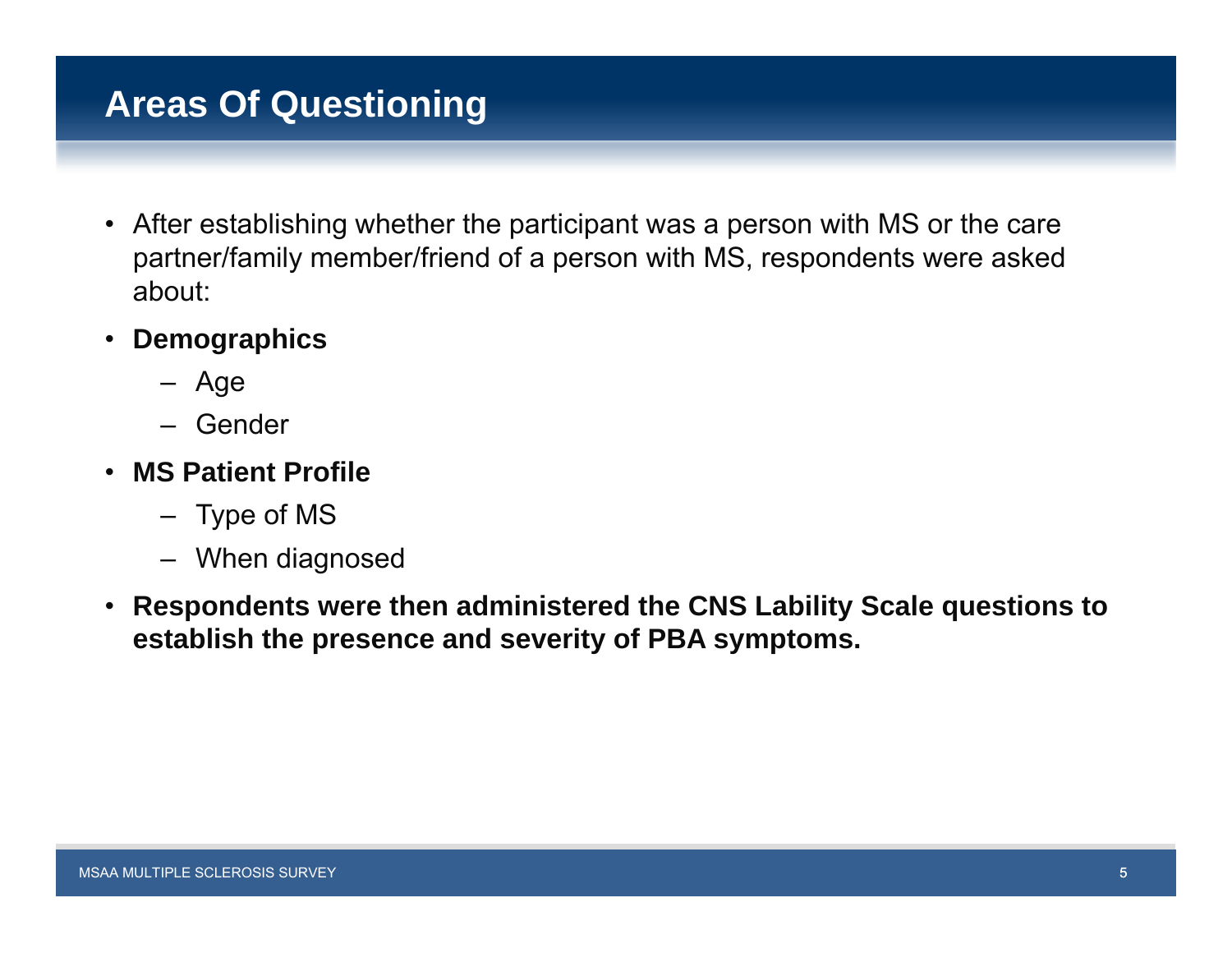## **Areas Of Questioning**

- After establishing whether the participant was a person with MS or the care partner/family member/friend of a person with MS, respondents were asked about:
- **Demographics**
	- Age
	- Gender
- **MS Patient Profile**
	- Type of MS
	- When diagnosed
- **Respondents were then administered the CNS Lability Scale questions to establish the presence and severity of PBA symptoms.**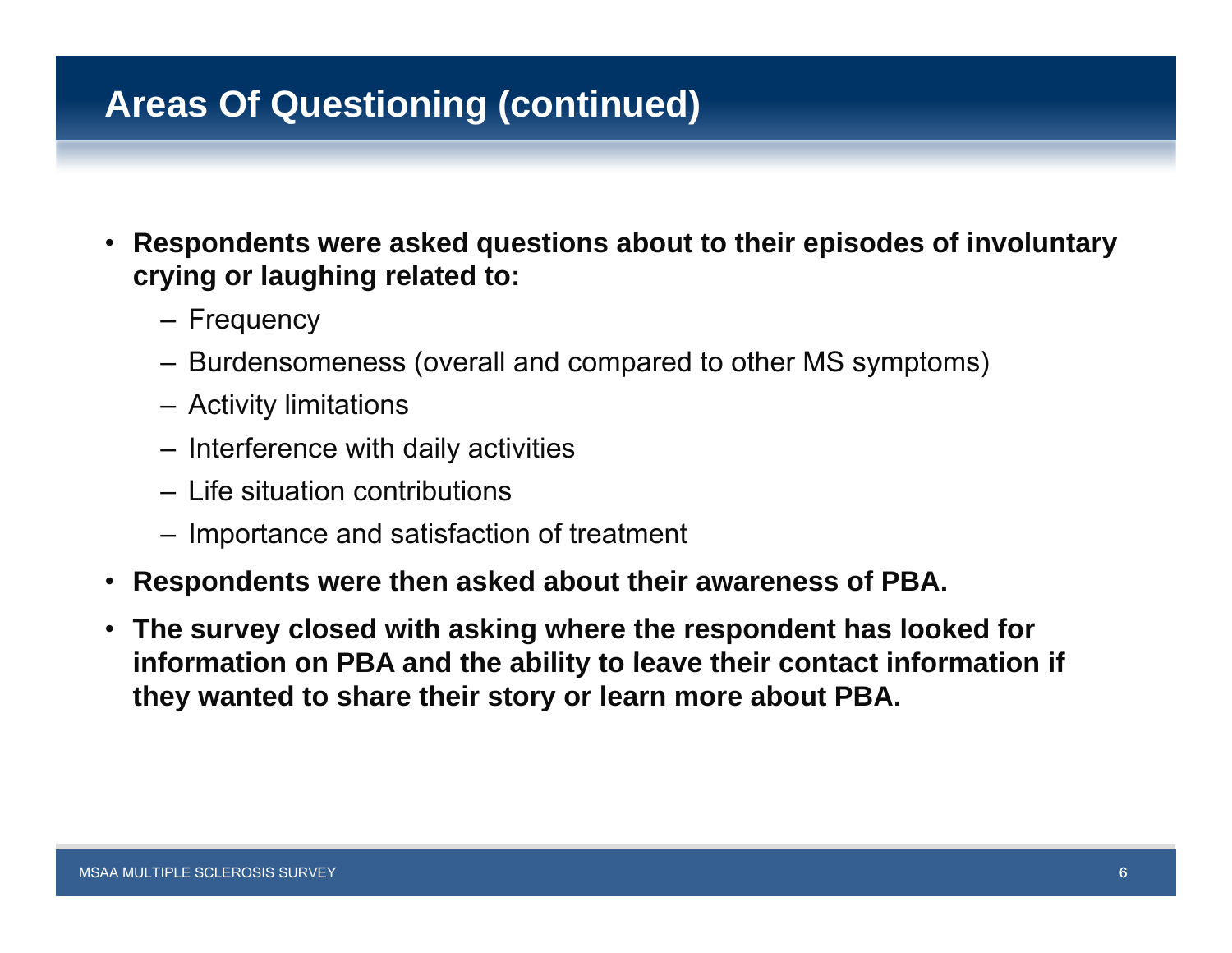## **Areas Of Questioning (continued)**

- $\bullet$  **Respondents were asked questions about to their episodes of involuntary crying or laughing related to:**
	- Frequency
	- Burdensomeness (overall and compared to other MS symptoms)
	- Activit y limitations
	- Interference with daily activities
	- Life situation contributions
	- Importance and satisfaction of treatment
- **Respondents were then asked about their awareness of PBA.**
- **The survey closed with asking where the respondent has looked for**  information on PBA and the ability to leave their contact information if **they wanted to share their story or learn more about PBA.**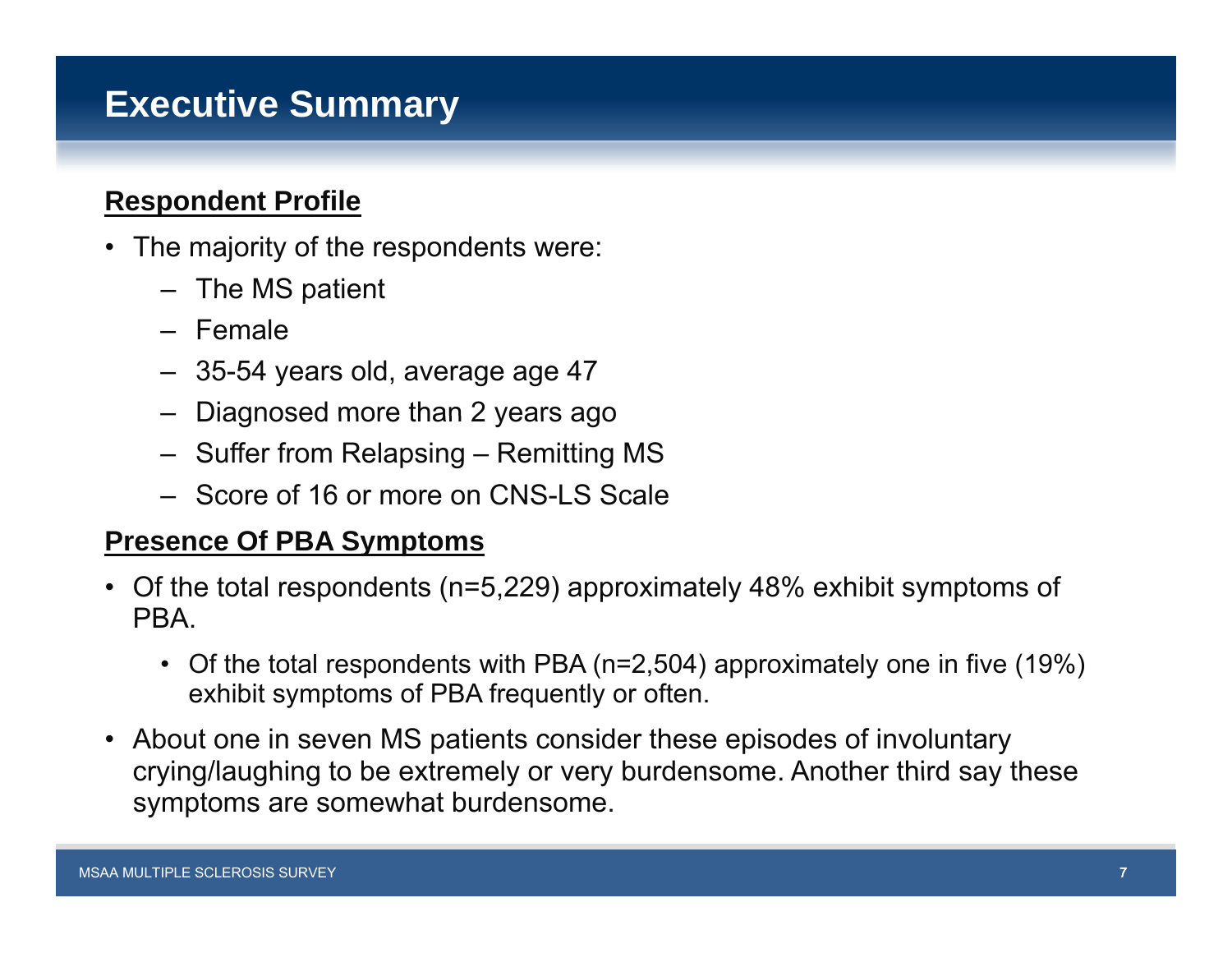## **Executive Summary**

### **Respondent Profile**

- The majority of the respondents were:
	- The MS patient
	- Female
	- 35-54 years old, average age 47
	- –Diagnosed more than 2 years ago
	- Suffer from Relapsing Remitting MS
	- Score of 16 or more on CNS-LS Scale

#### **Presence Of PBA S mptoms Symptoms**

- Of the total respondents (n=5,229) approximately 48% exhibit symptoms of **PRA** 
	- Of the total respondents with PBA (n=2,504) approximately one in five (19%) exhibit symptoms of PBA frequently or often.
- About one in seven MS patients consider these episodes of involuntary crying/laughing to be extremely or very burdensome. Another third say these symptoms are somewhat burdensome.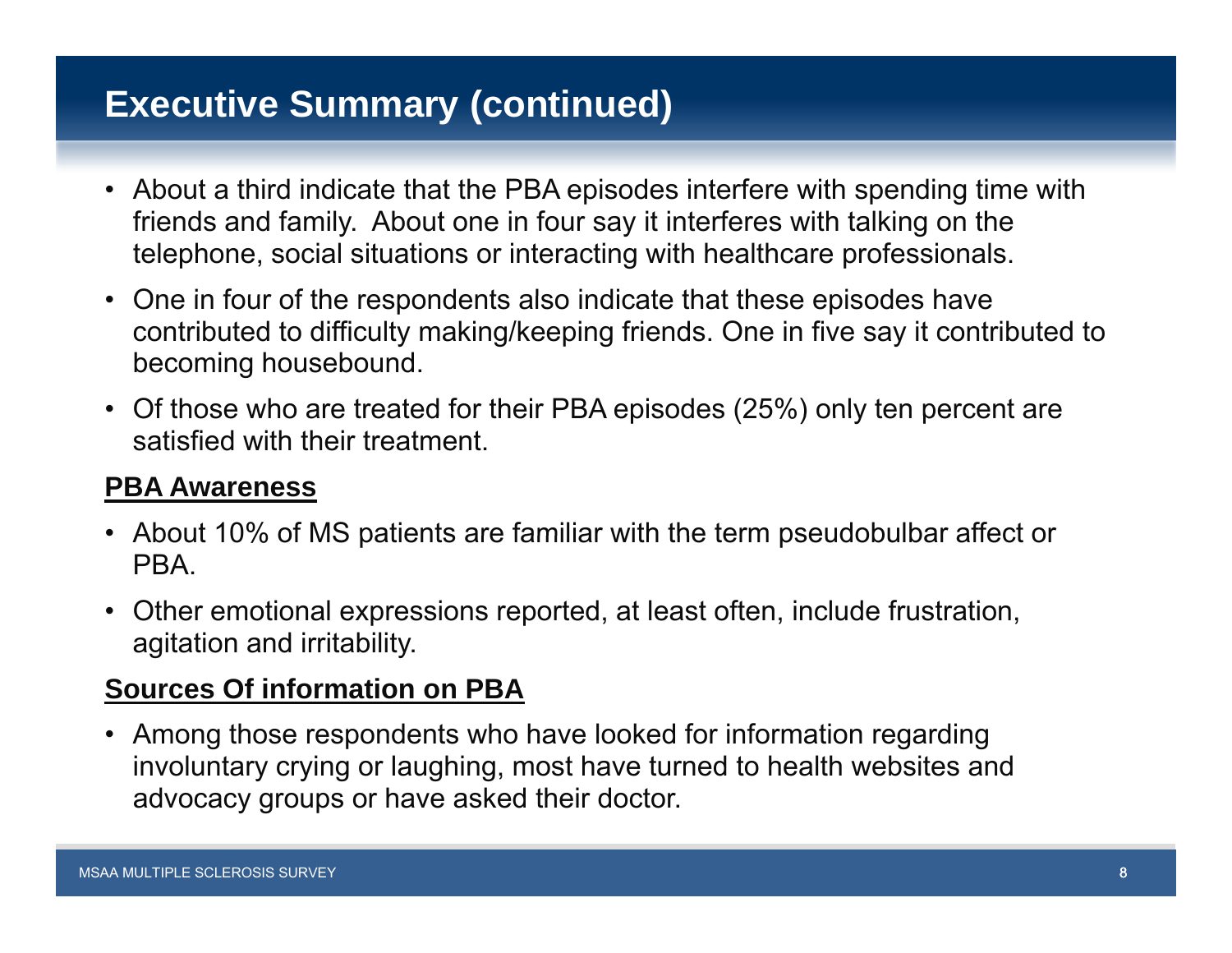# **Executive Summary (continued)**

- About a third indicate that the PBA episodes interfere with spending time with friends and family. About one in four say it interferes with talking on the telephone, social situations or interacting with healthcare professionals.
- One in four of the respondents also indicate that these episodes have contributed to difficulty making/keeping friends. One in five say it contributed to becoming housebound.
- Of those who are treated for their PBA episodes (25%) only ten percent are satisfied with their treatment.

#### **PBA Awareness**

- About 10% of MS patients are familiar with the term pseudobulbar affect or **PRA**
- Other emotional expressions reported, at least often, include frustration, agitation and irritability.

### **Sources Of information on PBA**

• Among those respondents who have looked for information regarding involuntary crying or laughing, most have turned to health websites and advocacy groups or have asked their doctor.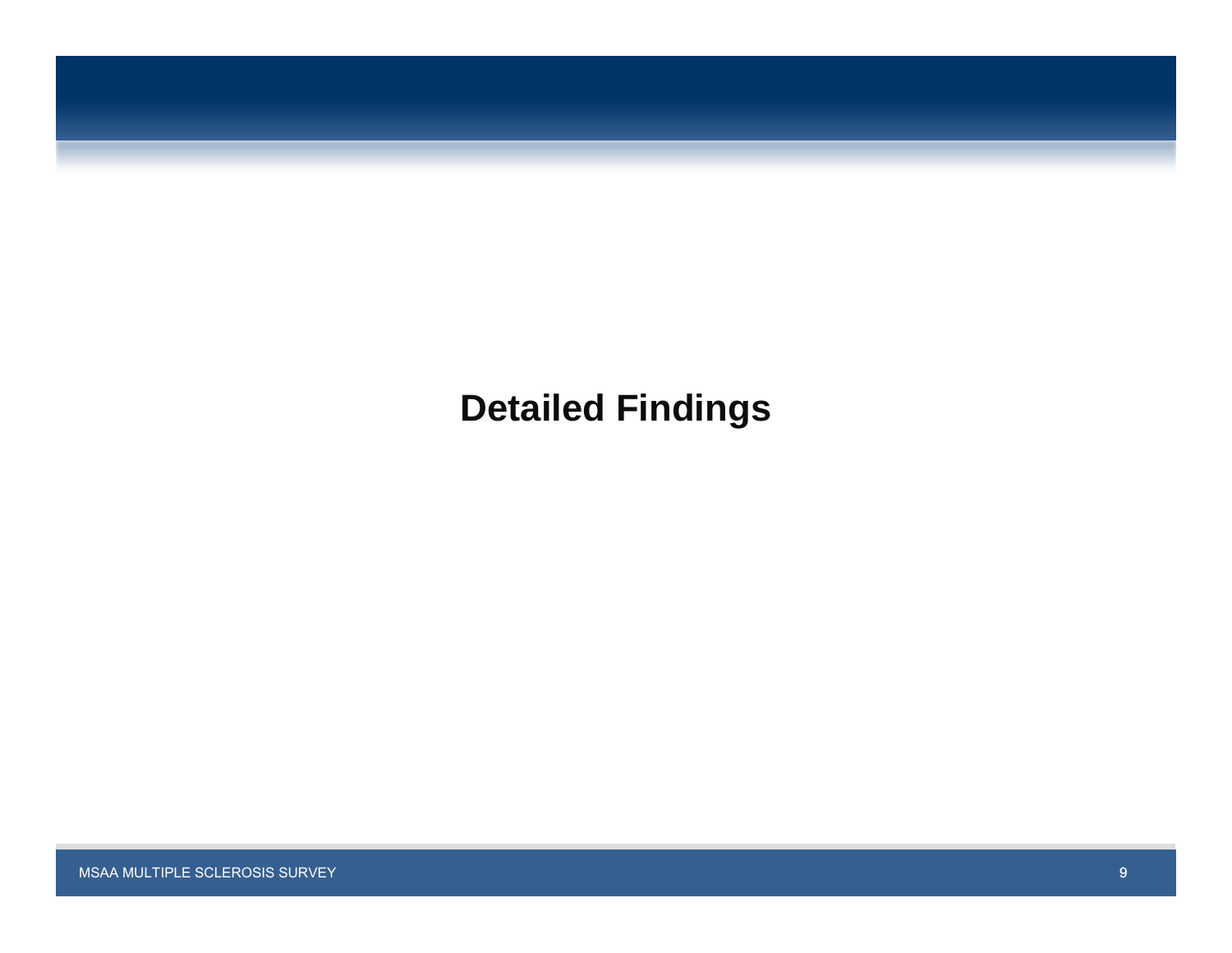# **Detailed Findings**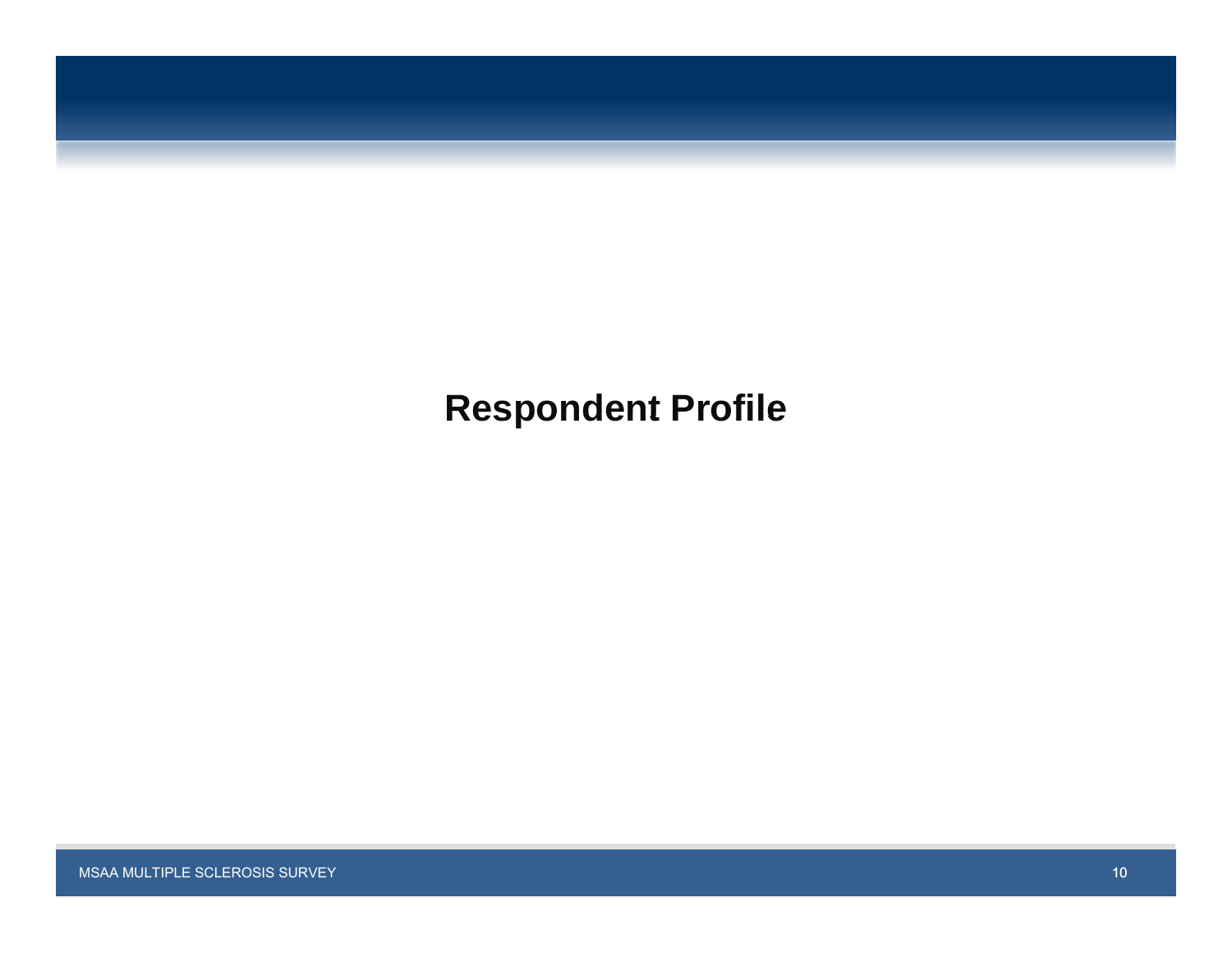# **Respondent Profile**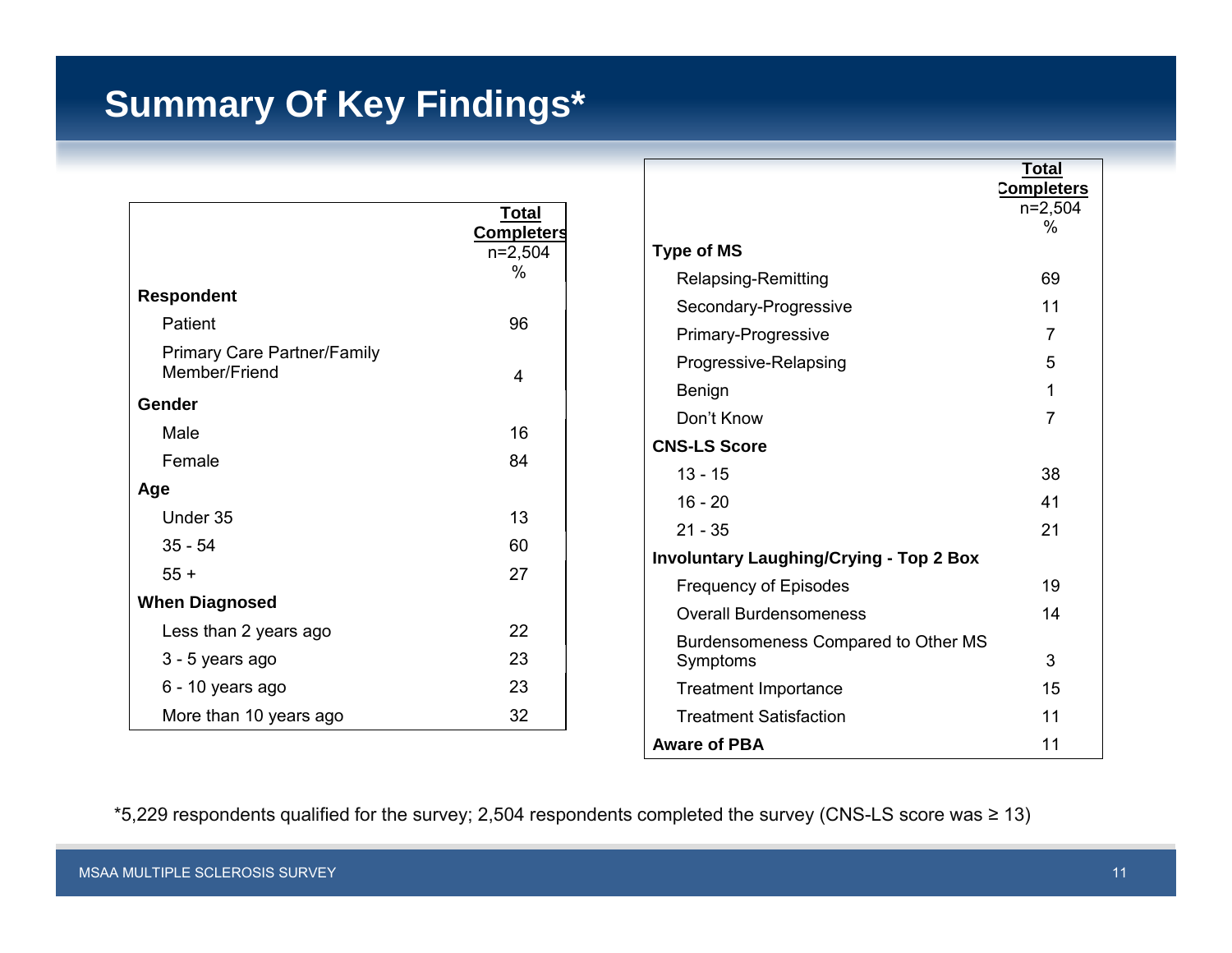# **Summary Of Key Findings\***

|                                                     | <u>Total</u>                   |                        |
|-----------------------------------------------------|--------------------------------|------------------------|
|                                                     | <b>Completers</b><br>$n=2,504$ | Type of N              |
|                                                     | $\%$                           | <b>Relaps</b>          |
| <b>Respondent</b>                                   |                                | Secon                  |
| Patient                                             | 96                             | Primar                 |
| <b>Primary Care Partner/Family</b><br>Member/Friend | 4                              | Progre<br>Benigr       |
| Gender                                              |                                | Don't I                |
| Male                                                | 16                             |                        |
| Female                                              | 84                             | <b>CNS-LS 9</b>        |
| Age                                                 |                                | $13 - 15$              |
| Under 35                                            | 13                             | $16 - 20$<br>$21 - 35$ |
| $35 - 54$                                           | 60                             | Involunta              |
| $55 +$                                              | 27                             | Freque                 |
| <b>When Diagnosed</b>                               |                                | Overal                 |
| Less than 2 years ago                               | 22                             | <b>Burder</b>          |
| 3 - 5 years ago                                     | 23                             | Sympt                  |
| 6 - 10 years ago                                    | 23                             | Treatn                 |
| More than 10 years ago                              | 32                             | Treatn                 |

|                                                | Total             |  |
|------------------------------------------------|-------------------|--|
|                                                | <b>Completers</b> |  |
|                                                | $n=2,504$<br>%    |  |
| <b>Type of MS</b>                              |                   |  |
| Relapsing-Remitting                            | 69                |  |
| Secondary-Progressive                          | 11                |  |
| Primary-Progressive                            | 7                 |  |
| Progressive-Relapsing                          | 5                 |  |
| Benign                                         | 1                 |  |
| Don't Know                                     | 7                 |  |
| <b>CNS-LS Score</b>                            |                   |  |
| $13 - 15$                                      | 38                |  |
| $16 - 20$                                      | 41                |  |
| $21 - 35$                                      | 21                |  |
| <b>Involuntary Laughing/Crying - Top 2 Box</b> |                   |  |
| <b>Frequency of Episodes</b>                   | 19                |  |
| <b>Overall Burdensomeness</b>                  | 14                |  |
| Burdensomeness Compared to Other MS            |                   |  |
| Symptoms                                       | 3                 |  |
| <b>Treatment Importance</b>                    | 15                |  |
| <b>Treatment Satisfaction</b>                  | 11                |  |
| <b>Aware of PBA</b>                            | 11                |  |

\*5,229 respondents qualified for the survey; 2,504 respondents completed the survey (CNS-LS score was ≥ 13)

г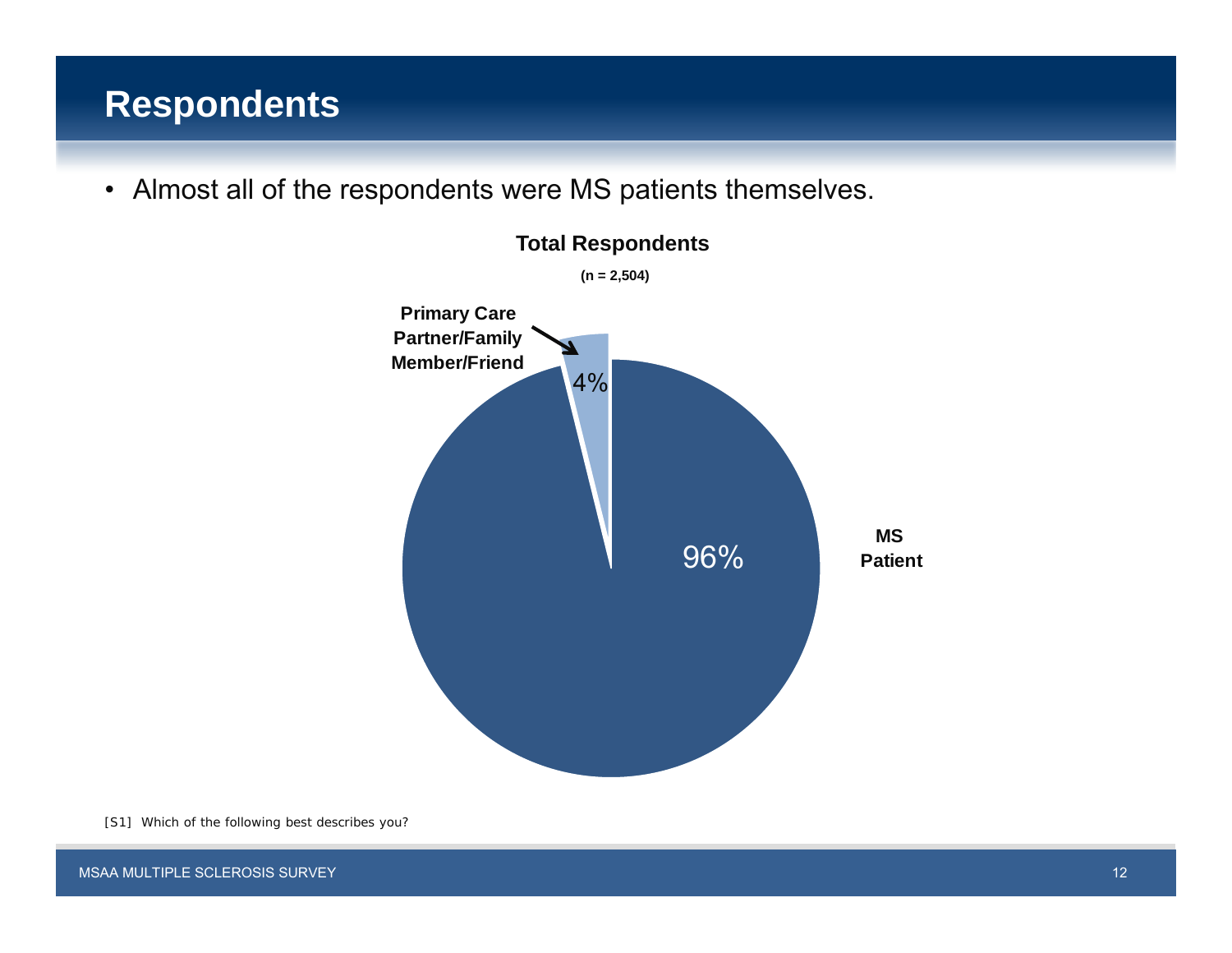## **Respondents**

• Almost all of the respondents were MS patients themselves.



[S1] Which of the following best describes you?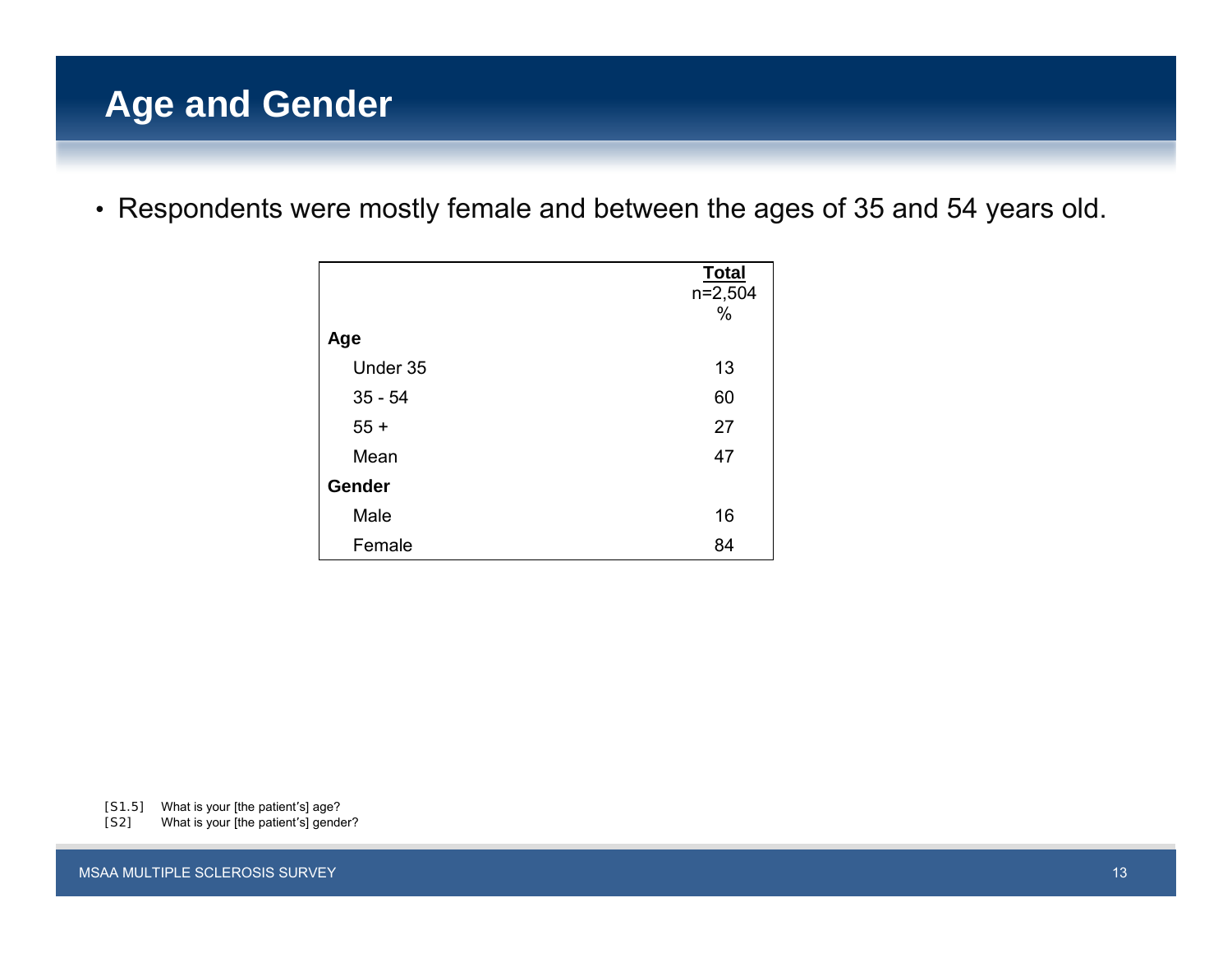# **Age and Gender**

• Respondents were mostly female and between the ages of 35 and 54 years old.

|           | <b>Total</b> |
|-----------|--------------|
|           | $n=2,504$    |
|           | %            |
| Age       |              |
| Under 35  | 13           |
| $35 - 54$ | 60           |
| $55 +$    | 27           |
| Mean      | 47           |
| Gender    |              |
| Male      | 16           |
| Female    | 84           |

[S1.5] What is your [the patient's] age?

[S2] What is your [the patient's] gender?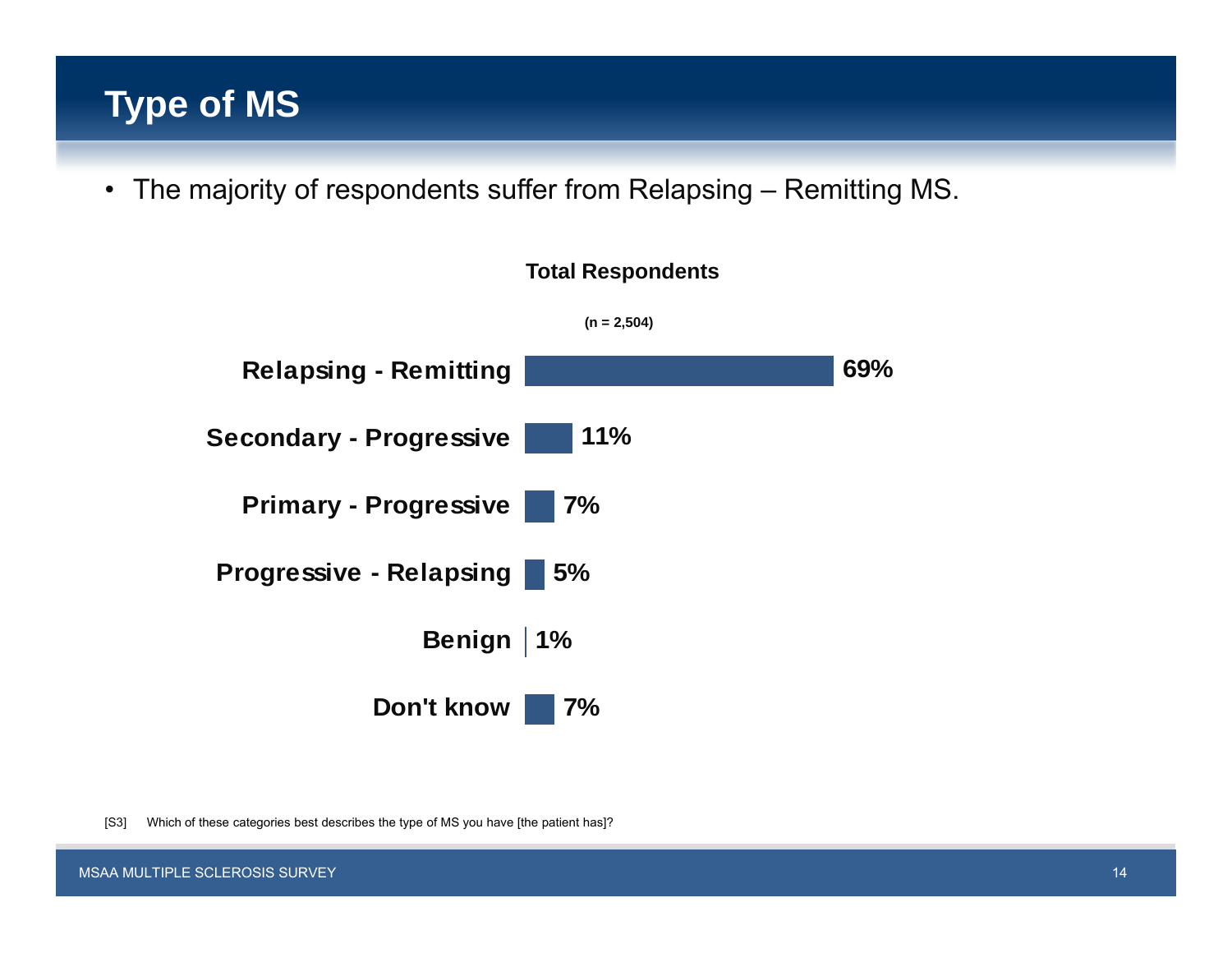# **Type of MS**

• The majority of respondents suffer from Relapsing – Remitting MS.



[S3] Which of these categories best describes the type of MS you have [the patient has]?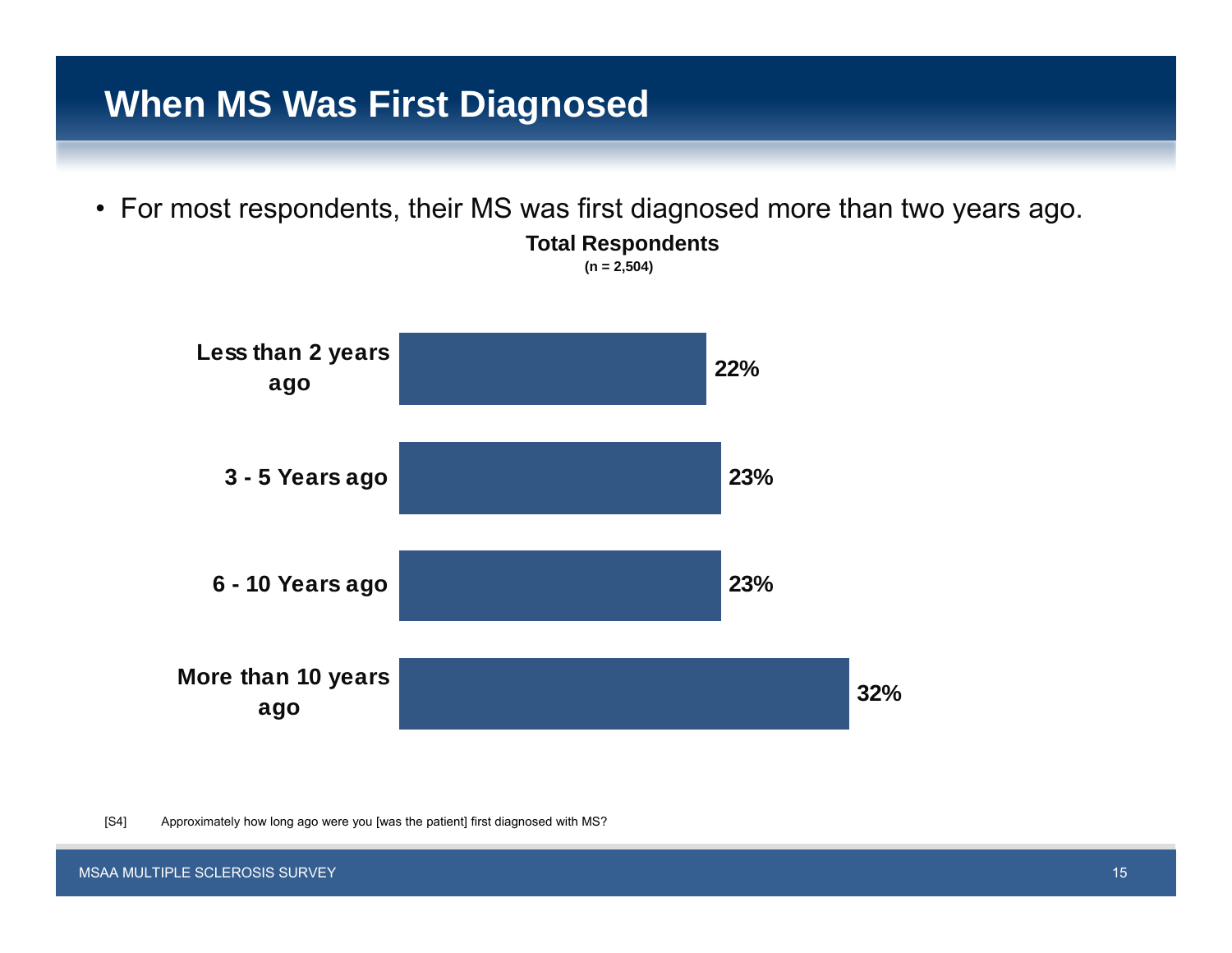## **When MS Was First Diagnosed**

• For most respondents, their MS was first diagnosed more than two years ago.

**Total Respondents (n = 2,504)**



[S4] Approximately how long ago were you [was the patient] first diagnosed with MS?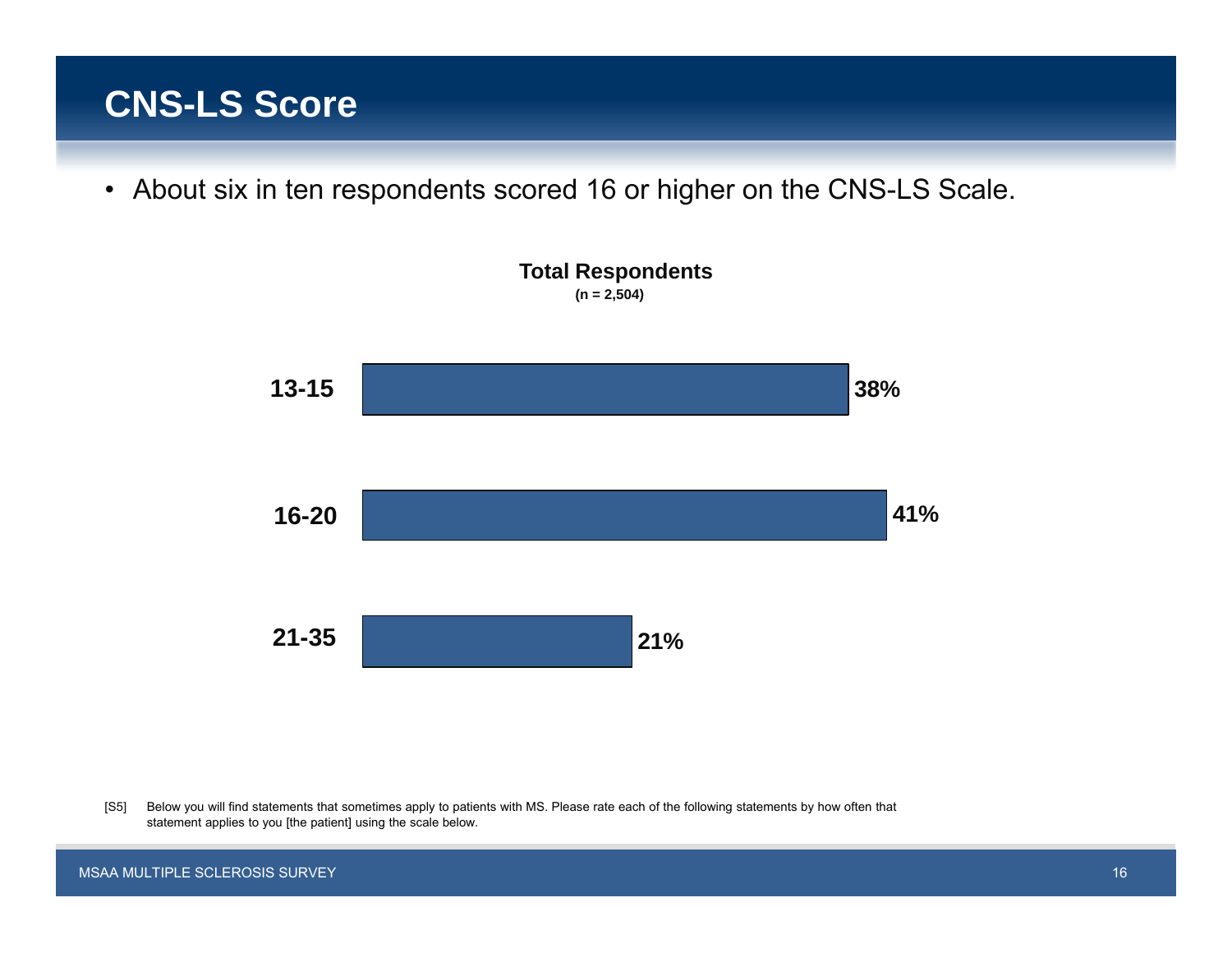## **CNS-LS Score**

• About six in ten respondents scored 16 or higher on the CNS-LS Scale.



[S5] Below you will find statements that sometimes apply to patients with MS. Please rate each of the following statements by how often that statement applies to you [the patient] using the scale below.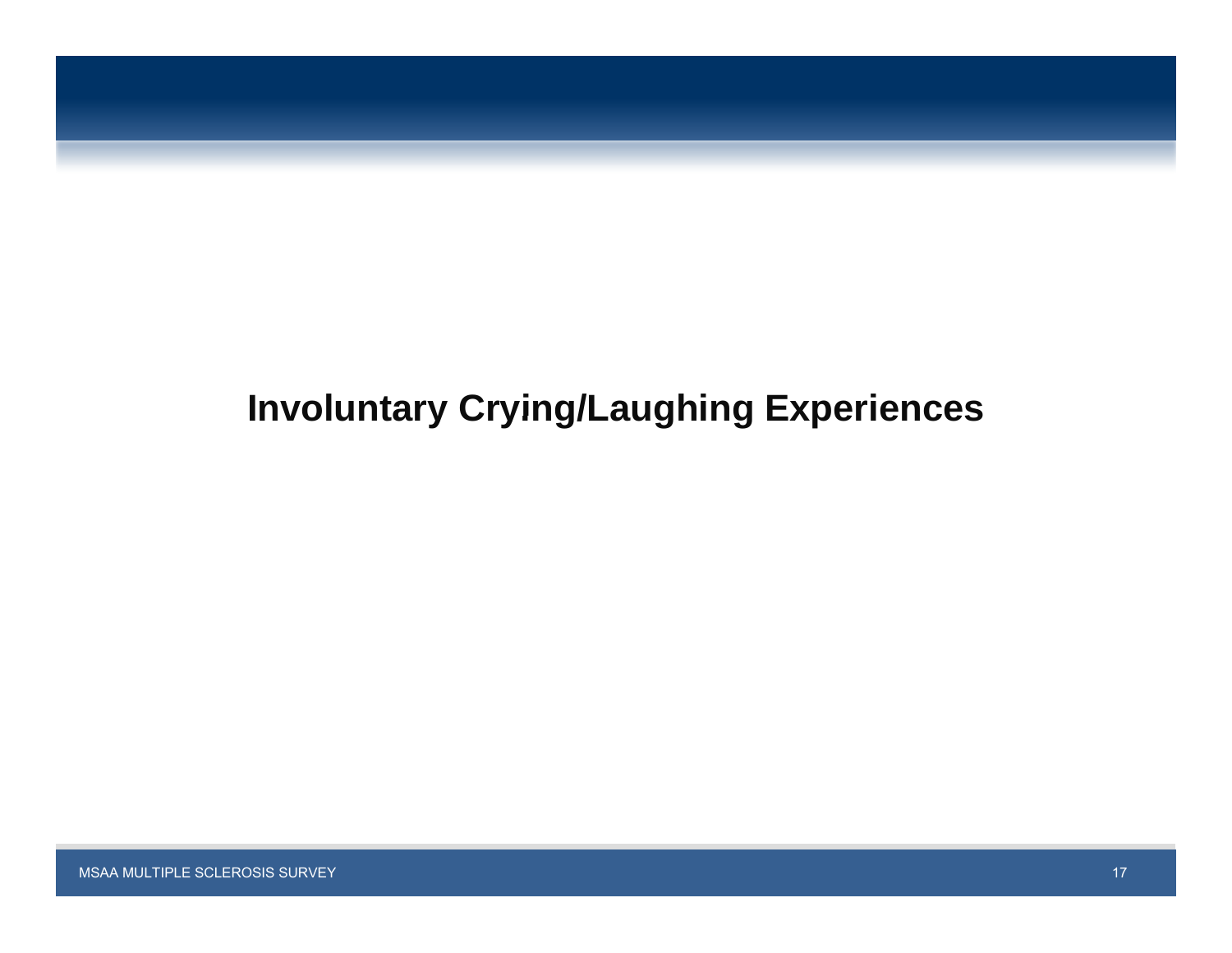

# **Involuntary Crying/Laughing Experiences**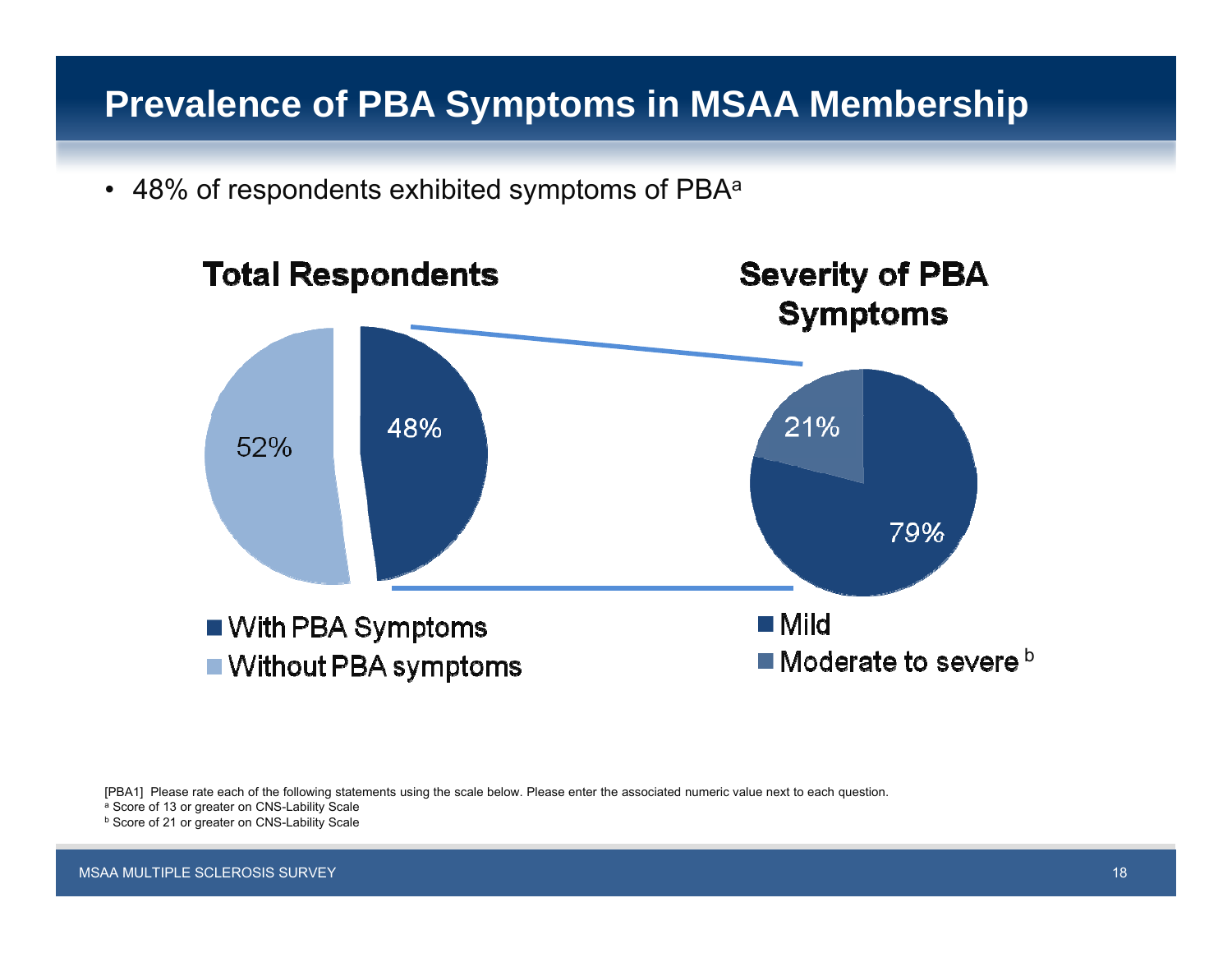## **Prevalence of PBA Symptoms in MSAA Membership**

 $\bullet$  48% of respondents exhibited symptoms of PBAª



[PBA1] Please rate each of the following statements using the scale below. Please enter the associated numeric value next to each question.

a Score of 13 or greater on CNS-Lability Scale

b Score of 21 or greater on CNS-Lability Scale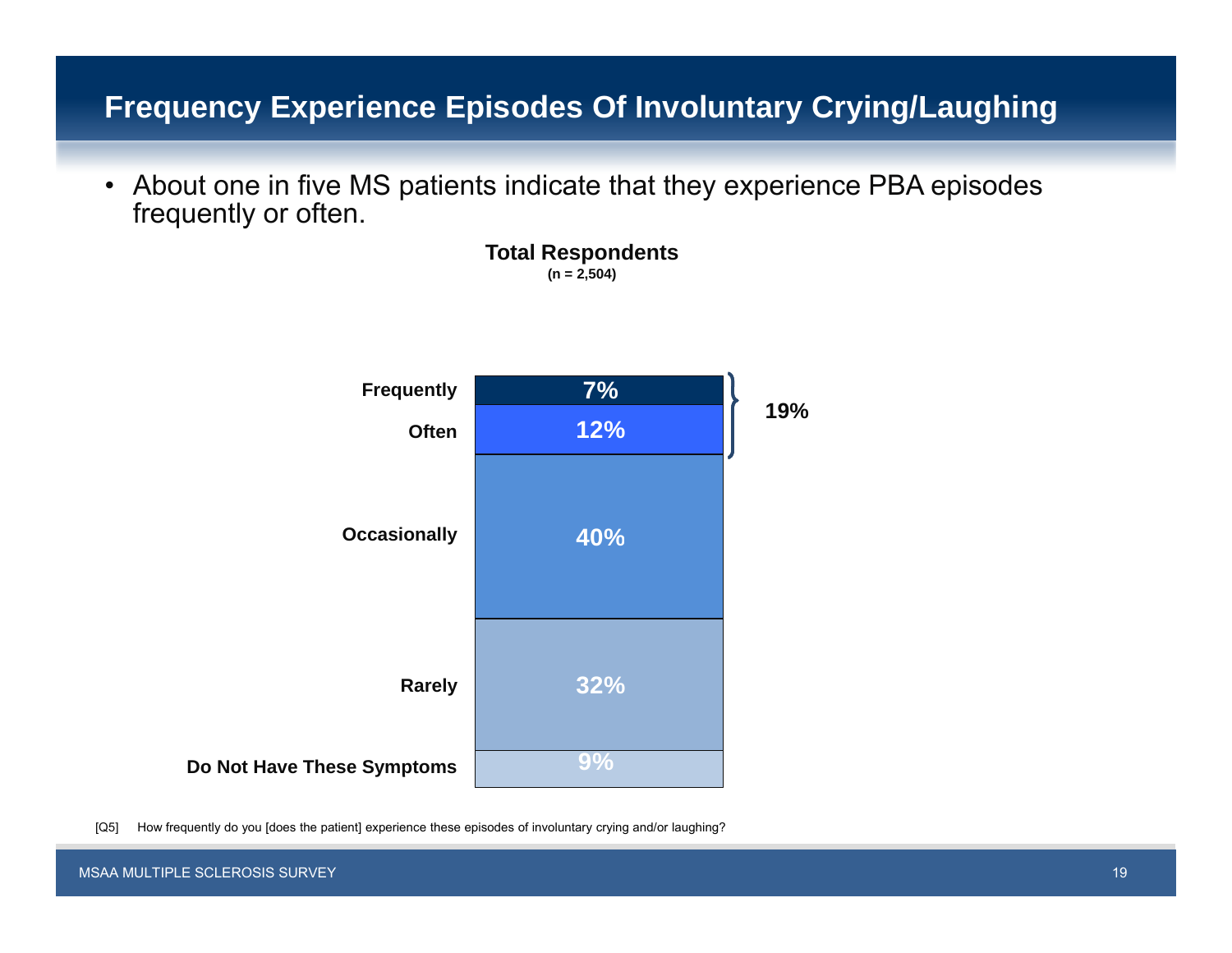### **Frequency Experience Episodes Of Involuntary Crying/Laughing**

• About one in five MS patients indicate that they experience PBA episodes frequently or often.

> **Total Respondents (n = 2,504)**



[Q5] How frequently do you [does the patient] experience these episodes of involuntary crying and/or laughing?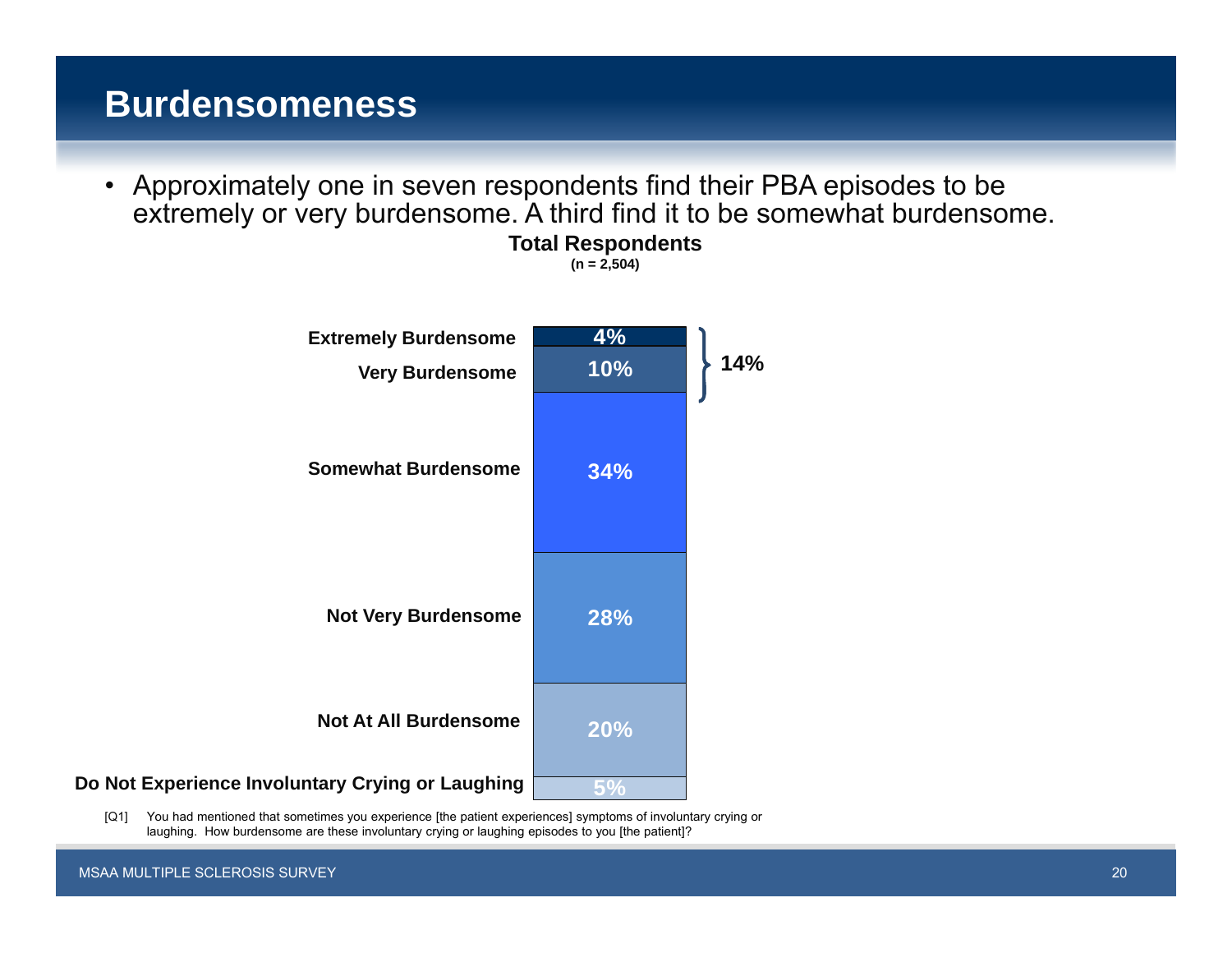## **Burdensomeness**

• Approximately one in seven respondents find their PBA episodes to be extremely or very burdensome. A third find it to be somewhat burdensome. **Total Respondents**

**(n = 2,504)**



[Q1] You had mentioned that sometimes you experience [the patient experiences] symptoms of involuntary crying or laughing. How burdensome are these involuntary crying or laughing episodes to you [the patient]?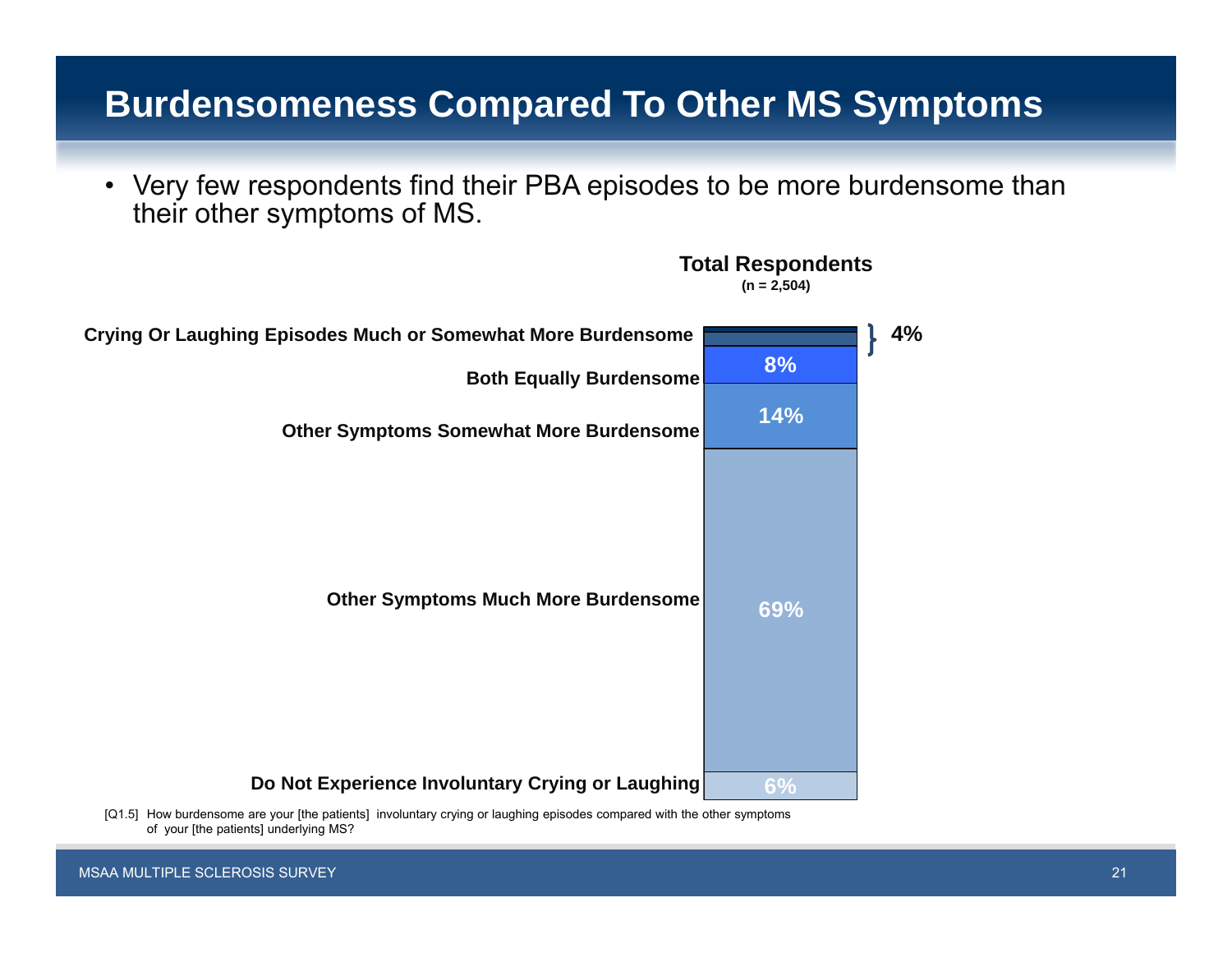## **Burdensomeness Compared To Other MS Symptoms**

• Very few respondents find their PBA episodes to be more burdensome than their other symptoms of MS.

**Total Respondents**



<sup>[</sup>Q1.5] How burdensome are your [the patients] involuntary crying or laughing episodes compared with the other symptoms of your [the patients] underlying MS?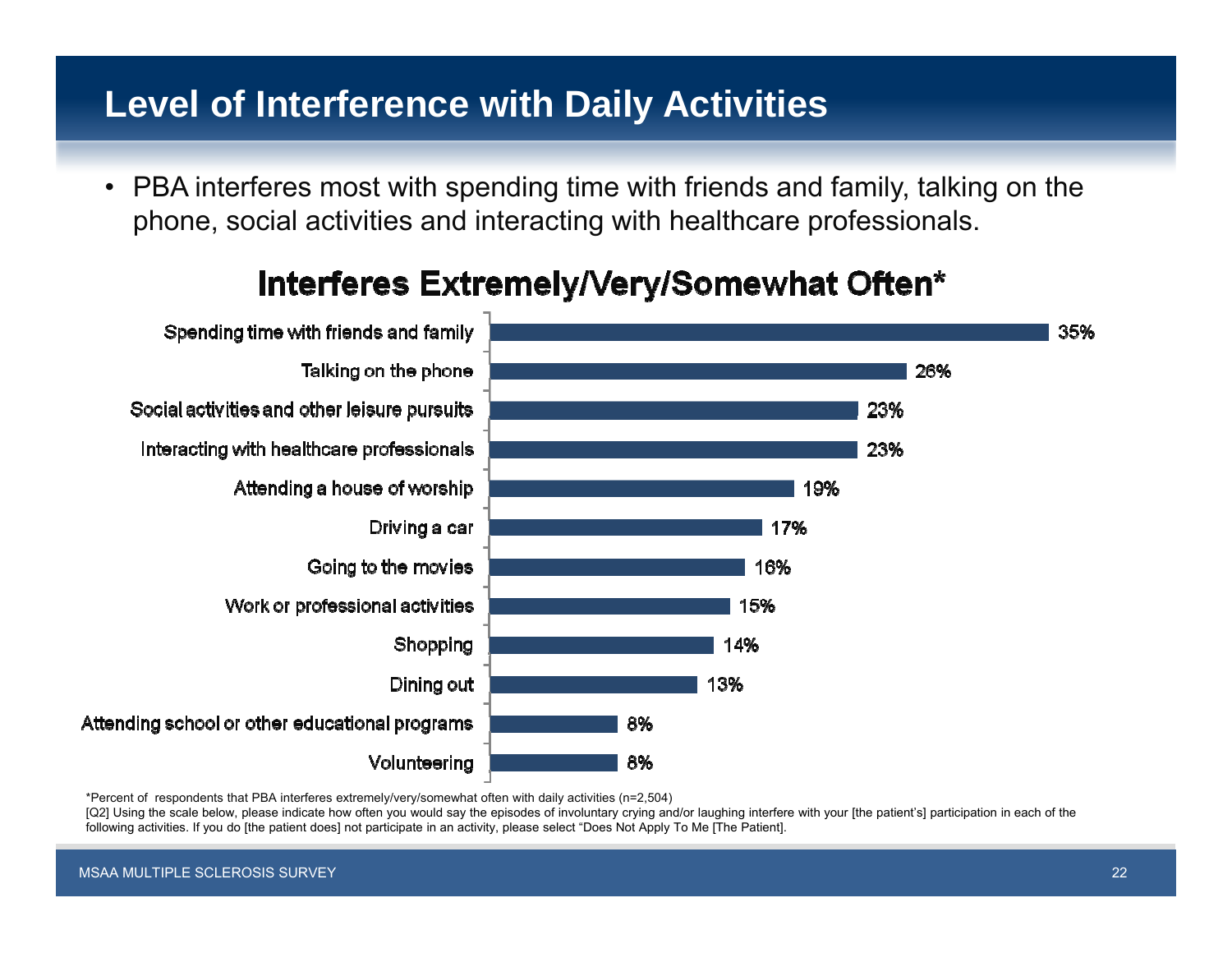## **Level of Interference with Daily Activities**

• PBA interferes most with spending time with friends and family, talking on the phone, social activities and interacting with healthcare professionals.



## Interferes Extremely/Very/Somewhat Often\*

\*Percent of respondents that PBA interferes extremely/very/somewhat often with daily activities (n=2,504)

[Q2] Using the scale below, please indicate how often you would say the episodes of involuntary crying and/or laughing interfere with your [the patient's] participation in each of the following activities. If you do [the patient does] not participate in an activity, please select "Does Not Apply To Me [The Patient].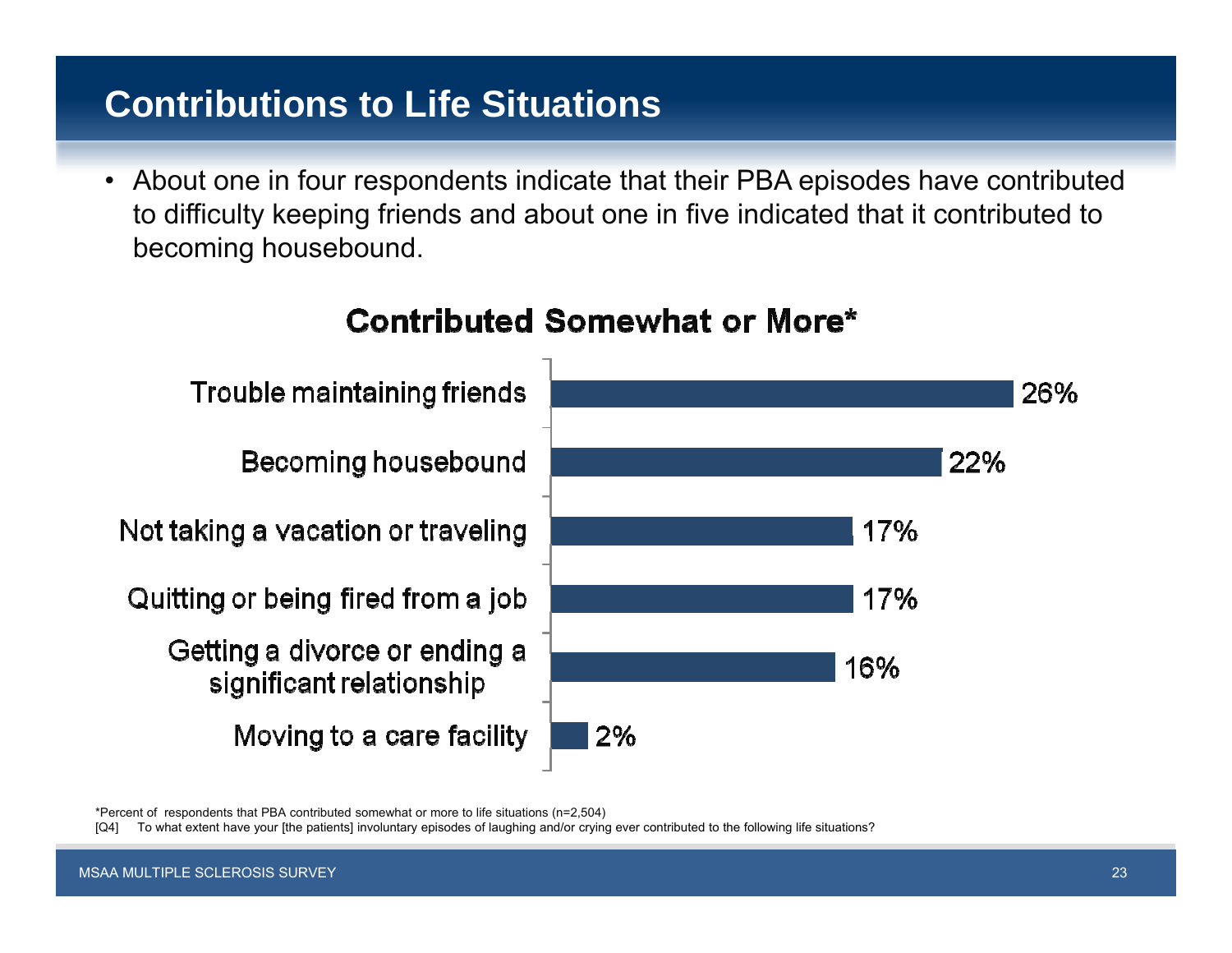# **Contributions to Life Situations**

• About one in four respondents indicate that their PBA episodes have contributed to difficulty keeping friends and about one in five indicated that it contributed to becoming housebound.



## **Contributed Somewhat or More\***

\*Percent of respondents that PBA contributed somewhat or more to life situations (n=2,504)

To what extent have your [the patients] involuntary episodes of laughing and/or crying ever contributed to the following life situations?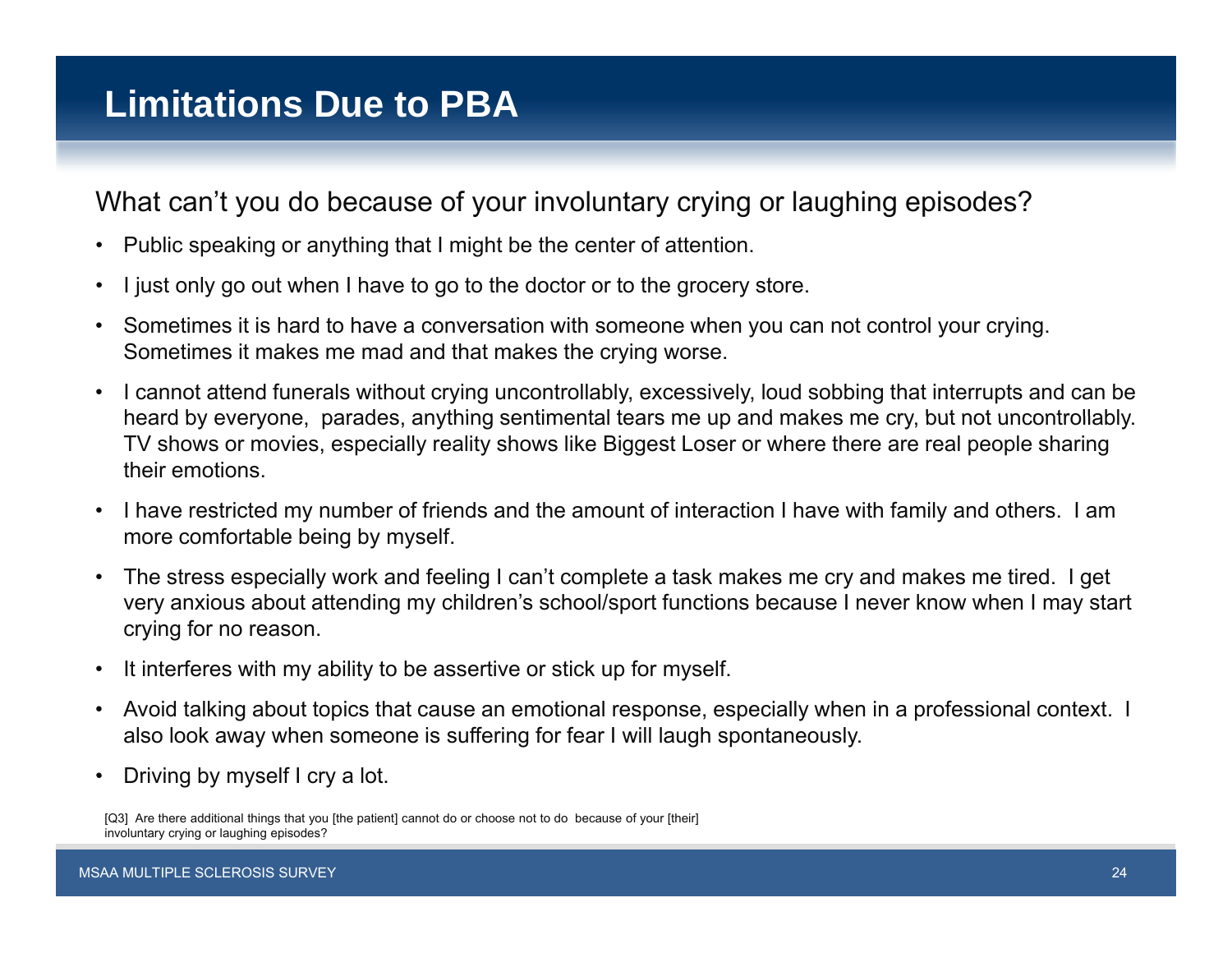What can't you do because of your involuntary crying or laughing episodes?

- $\bullet$ Public speaking or anything that I might be the center of attention.
- •I just only go out when I have to go to the doctor or to the grocery store.
- $\bullet$  Sometimes it is hard to have a conversation with someone when you can not control your crying. Sometimes it makes me mad and that makes the crying worse.
- $\bullet$  I cannot attend funerals without crying uncontrollably, excessively, loud sobbing that interrupts and can be heard by everyone, parades, anything sentimental tears me up and makes me cry, but not uncontrollably. TV shows or movies, especially reality shows like Biggest Loser or where there are real people sharing their emotions.
- • I have restricted my number of friends and the amount of interaction I have with family and others. I am more comfortable being by myself.
- • The stress especially work and feeling I can't complete a task makes me cry and makes me tired. I get very anxious about attending my children's school/sport functions because I never know when I may start crying for no reason.
- $\bullet$ It interferes with my ability to be assertive or stick up for myself.
- $\bullet$  Avoid talking about topics that cause an emotional response, especially when in a professional context. I also look away when someone is suffering for fear I will laugh spontaneously.
- •• Driving by myself I cry a lot.

<sup>[</sup>Q3] Are there additional things that you [the patient] cannot do or choose not to do because of your [their] involuntary crying or laughing episodes?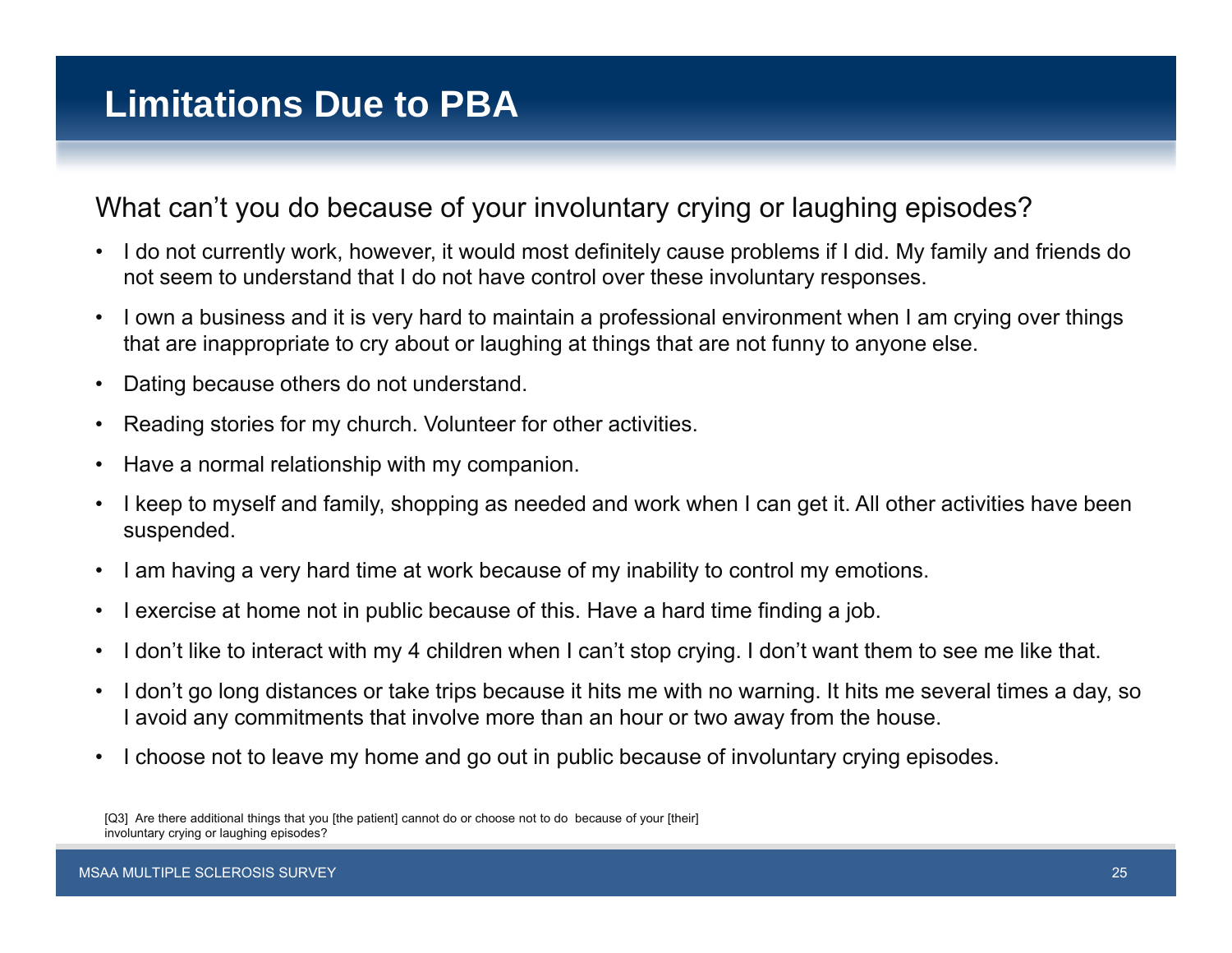#### What can't you do because of your involuntary crying or laughing episodes?

- I do not currently work, however, it would most definitely cause problems if I did. My family and friends do not seem to understand that I do not have control over these involuntary responses.
- • I own a business and it is very hard to maintain a professional environment when I am crying over things that are inappropriate to cry about or laughing at things that are not funny to anyone else.
- •Dating because others do not understand.
- •Reading stories for my church. Volunteer for other activities.
- •Have a normal relationship with my companion.
- • I keep to myself and family, shopping as needed and work when I can get it. All other activities have been suspended.
- $\bullet$ I am having a very hard time at work because of my inability to control my emotions.
- $\bullet$ I exercise at home not in public because of this. Have a hard time finding a job.
- •I don't like to interact with my 4 children when I can't stop crying. I don't want them to see me like that.
- • I don't go long distances or take trips because it hits me with no warning. It hits me several times a day, so I avoid any commitments that involve more than an hour or two away from the house.
- •I choose not to leave my home and go out in public because of involuntary crying episodes.

<sup>[</sup>Q3] Are there additional things that you [the patient] cannot do or choose not to do because of your [their] involuntary crying or laughing episodes?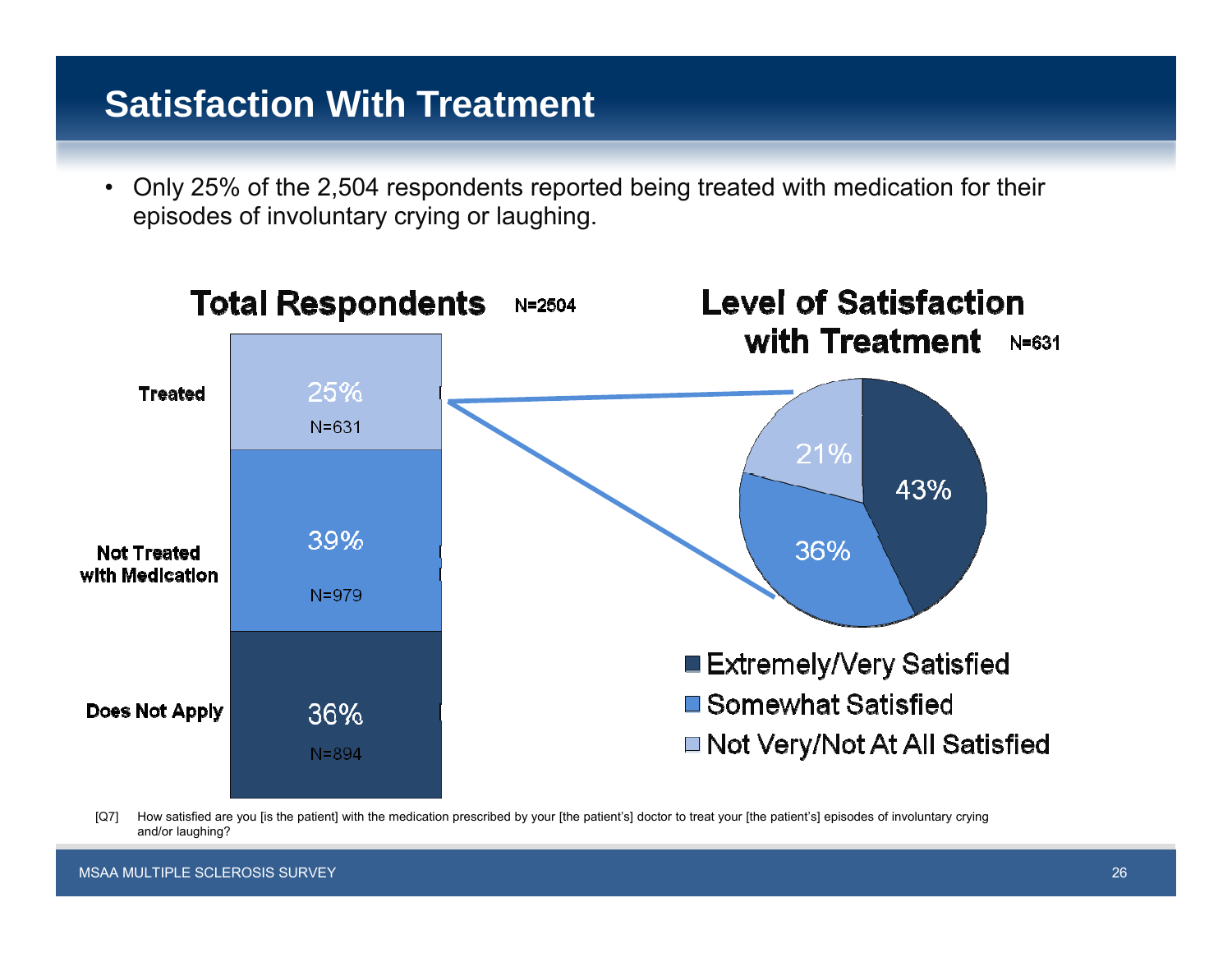## **Satisfaction With Treatment**

• Only 25% of the 2,504 respondents reported being treated with medication for their episodes of involuntary crying or laughing.



[Q7] How satisfied are you [is the patient] with the medication prescribed by your [the patient's] doctor to treat your [the patient's] episodes of involuntary crying and/or laughing?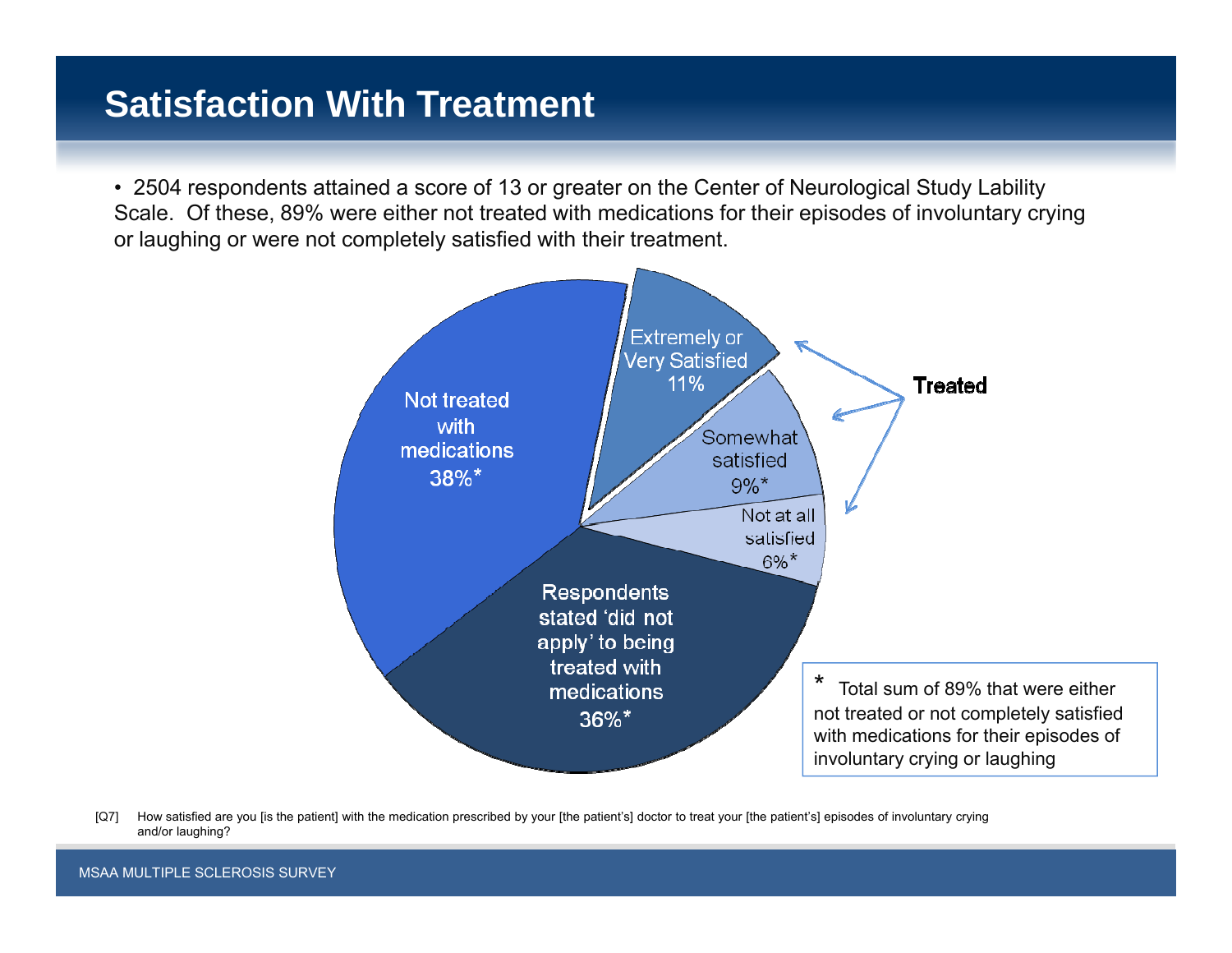## **Satisfaction With Treatment**

• 2504 respondents attained a score of 13 or greater on the Center of Neurological Study Lability Scale. Of these, 89% were either not treated with medications for their episodes of involuntary crying or laughing or were not completely satisfied with their treatment.



[Q7] How satisfied are you [is the patient] with the medication prescribed by your [the patient's] doctor to treat your [the patient's] episodes of involuntary crying and/or laughing?

MSAA MULTIPLE SCLEROSIS SURVEY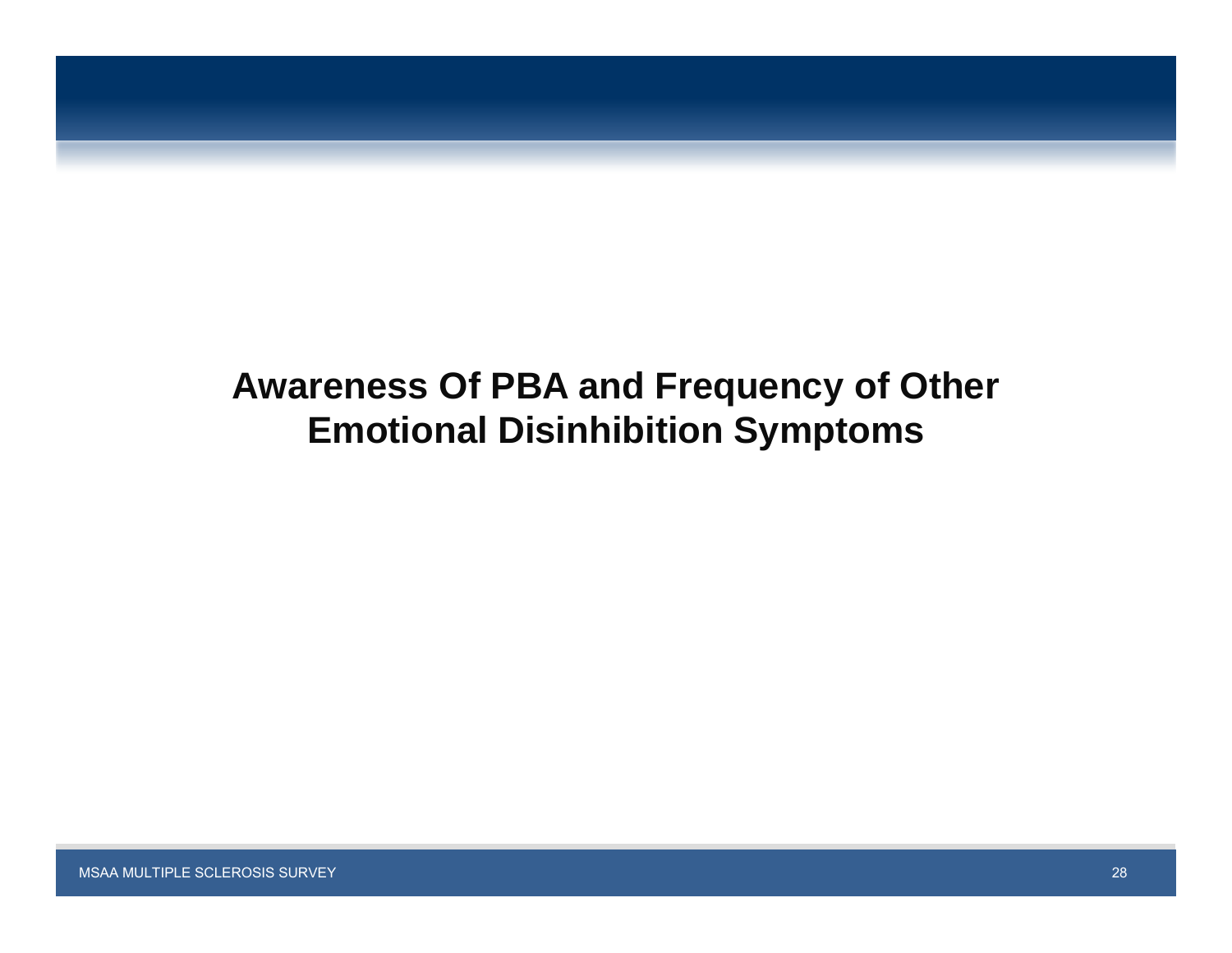# **Awareness Of PBA and Frequency of Other Emotional Disinhibition Symptoms**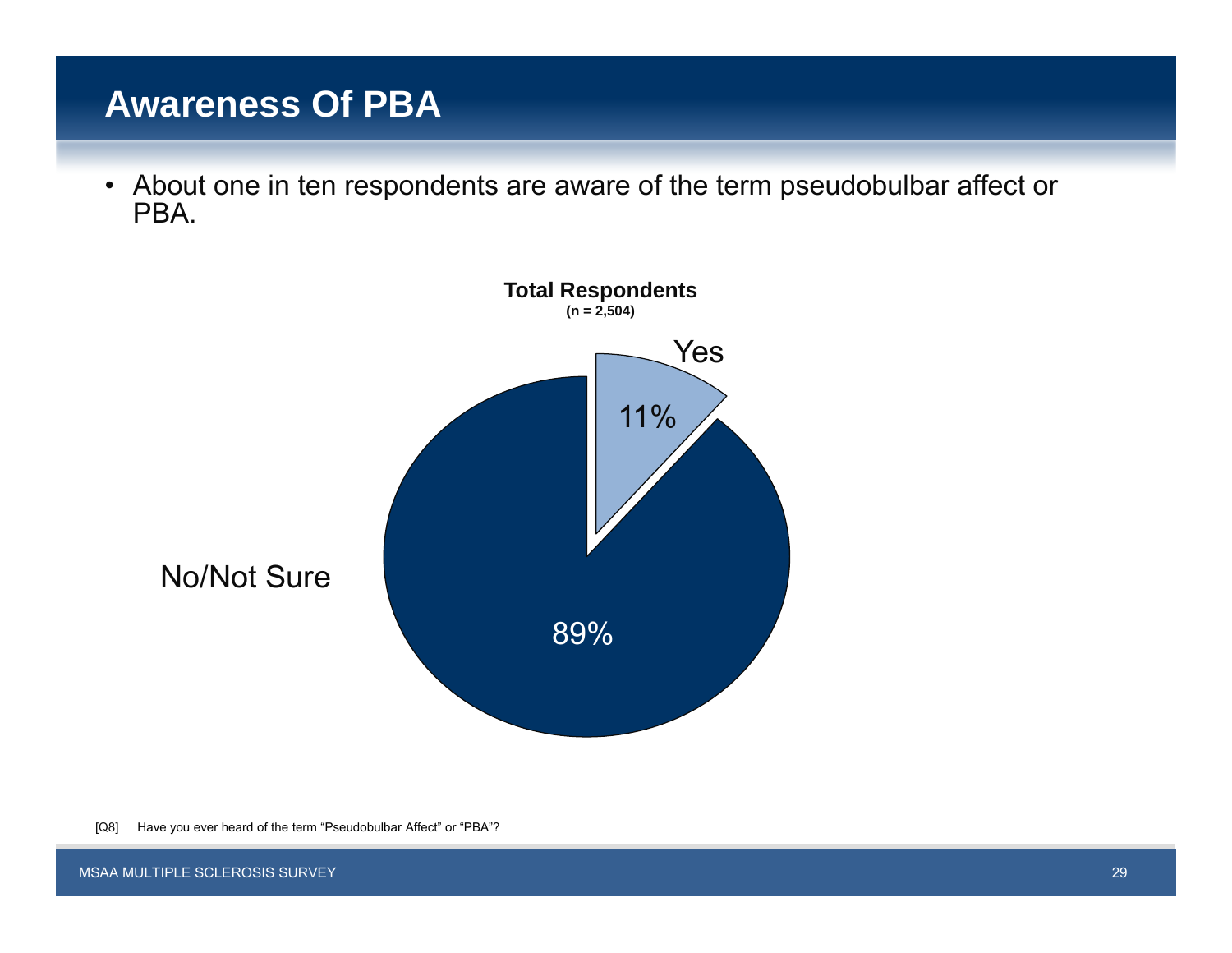## **Awareness Of PBA**

• About one in ten respondents are aware of the term pseudobulbar affect or PBA.



[Q8] Have you ever heard of the term "Pseudobulbar Affect" or "PBA"?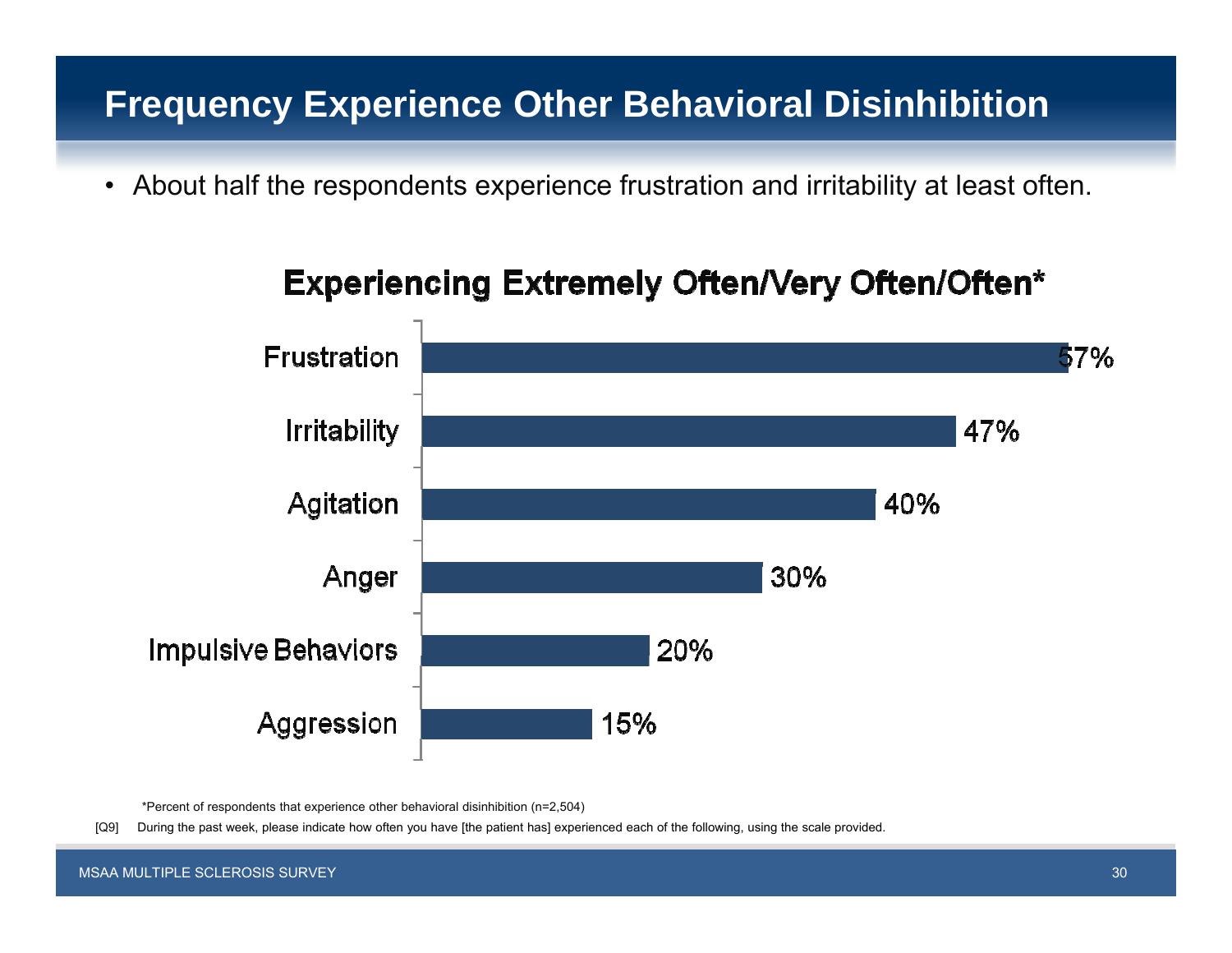## **Frequency Experience Other Behavioral Disinhibition**

• About half the respondents experience frustration and irritability at least often.



## **Experiencing Extremely Often/Very Often/Often\***

\*Percent of respondents that experience other behavioral disinhibition (n=2,504)

[Q9] During the past week, please indicate how often you have [the patient has] experienced each of the following, using the scale provided.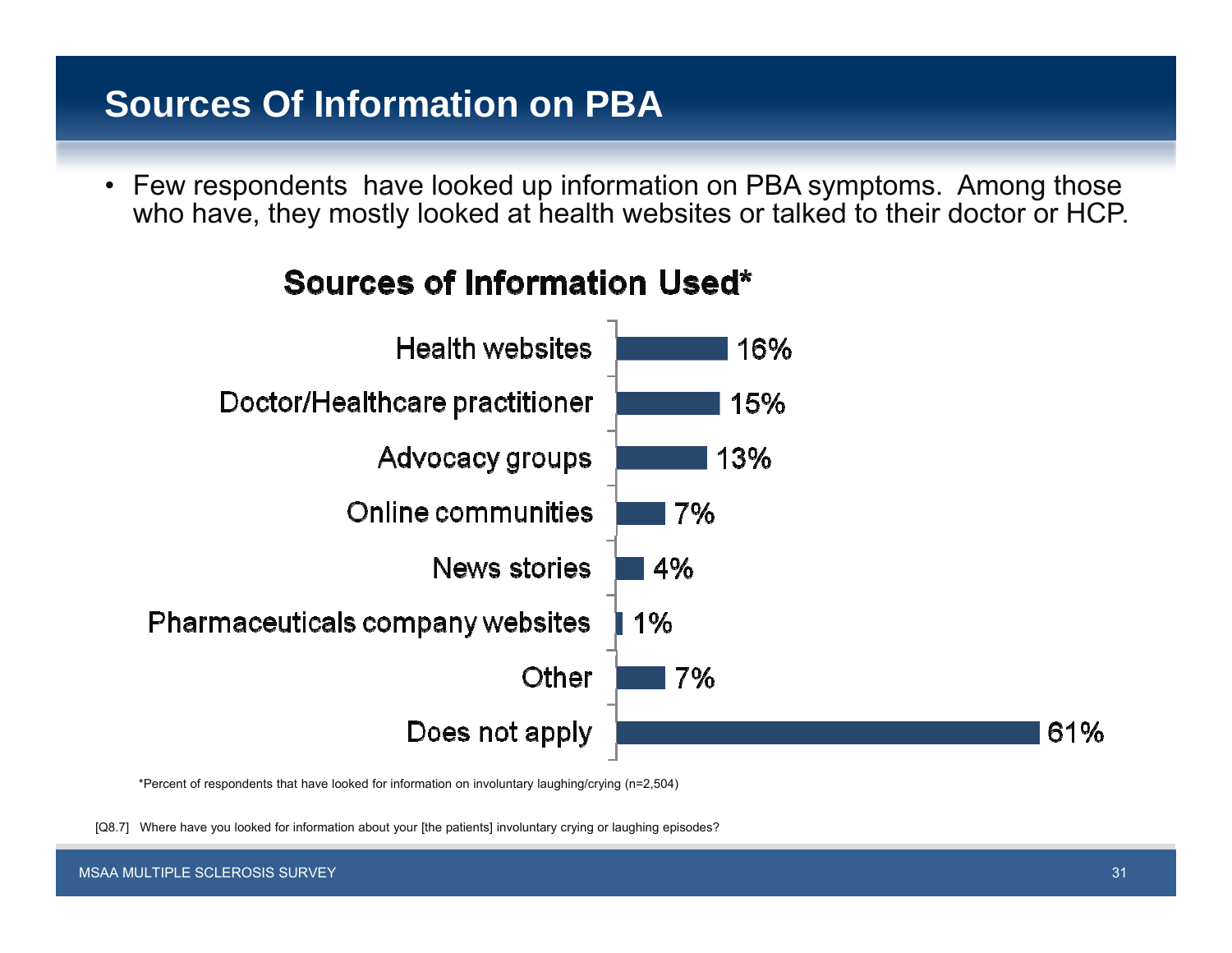## **Sources Of Information on PBA**

• Few respondents have looked up information on PBA symptoms. Among those who have, they mostly looked at health websites or talked to their doctor or HCP.



## **Sources of Information Used\***

\*Percent of respondents that have looked for information on involuntary laughing/crying (n=2,504)

[Q8.7] Where have you looked for information about your [the patients] involuntary crying or laughing episodes?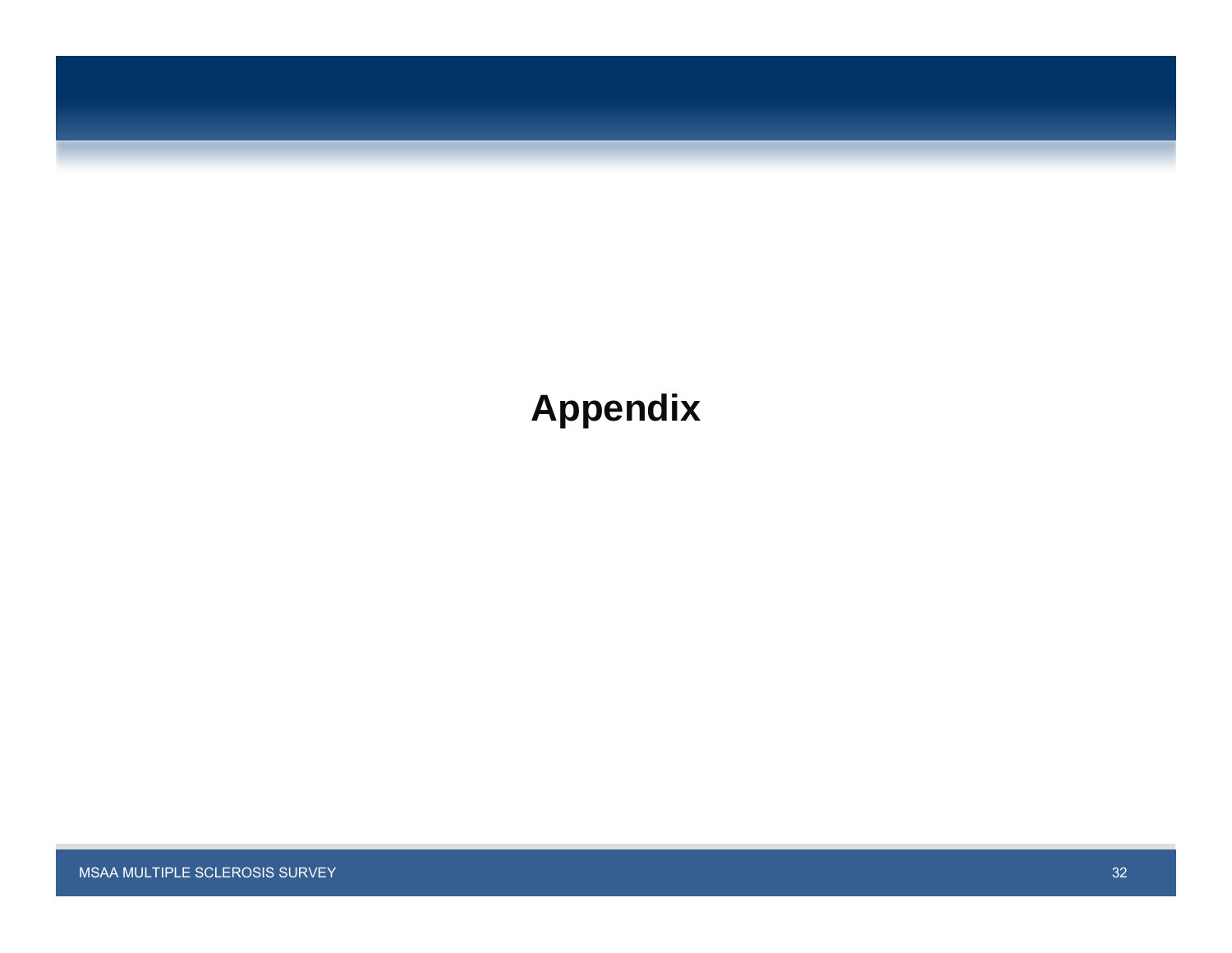

# **Appendix**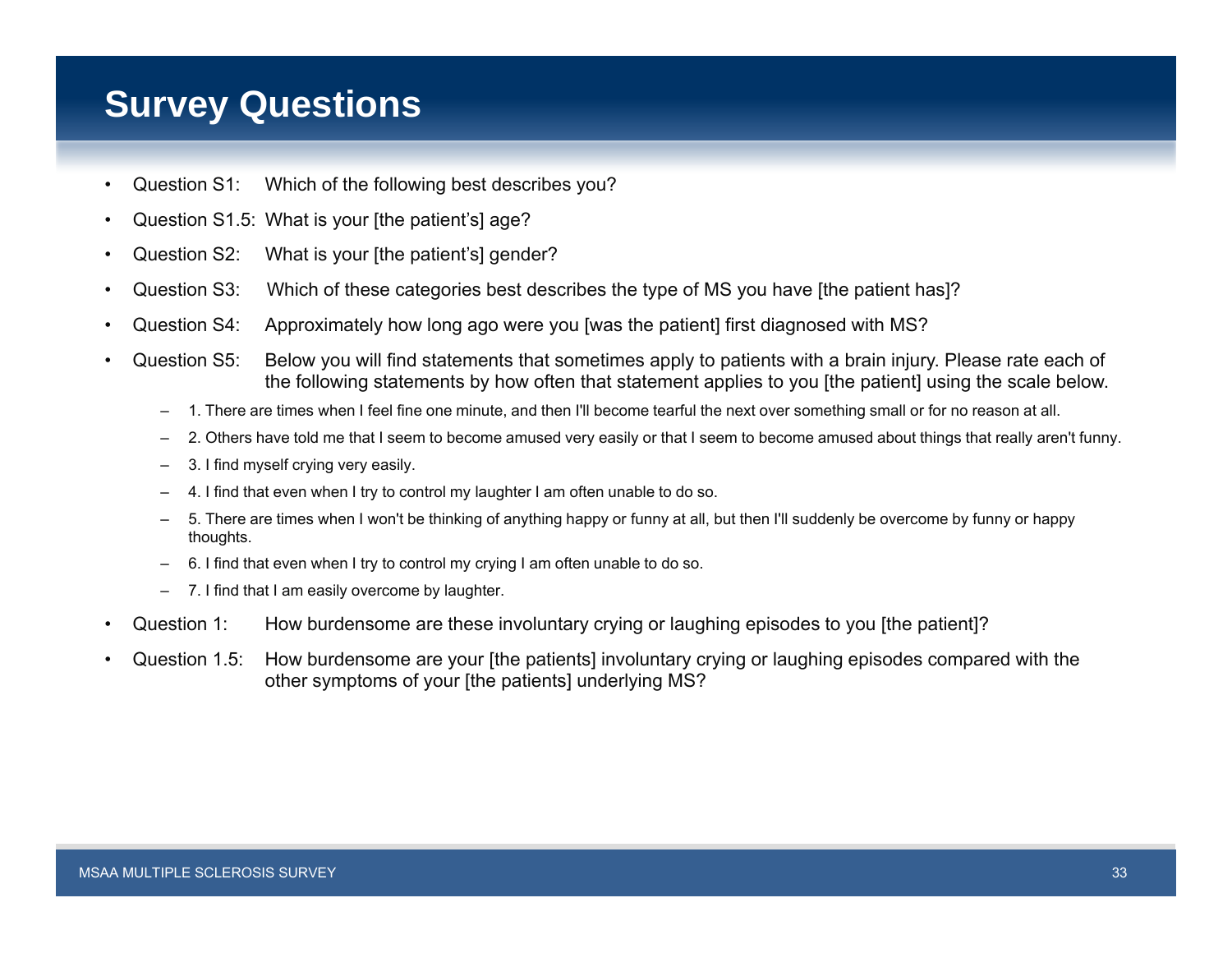## **Survey Questions**

- •Question S1: Which of the following best describes you?
- •Question S1.5: What is your [the patient's] age?
- •Question S2: What is your [the patient's] gender?
- •Question S3: Which of these categories best describes the type of MS you have [the patient has]?
- •Question S4: Approximately how long ago were you [was the patient] first diagnosed with MS?
- • Question S5: Below you will find statements that sometimes apply to patients with a brain injury. Please rate each of the following statements by how often that statement applies to you [the patient] using the scale below.
	- –1. There are times when I feel fine one minute, and then I'll become tearful the next over something small or for no reason at all.
	- –2. Others have told me that I seem to become amused very easily or that I seem to become amused about things that really aren't funny.
	- –3. I find myself crying very easily.
	- 4. I find that even when I try to control my laughter I am often unable to do so.
	- 5. There are times when I won't be thinking of anything happy or funny at all, but then I'll suddenly be overcome by funny or happy thoughts.
	- –6. I find that even when I try to control my crying I am often unable to do so.
	- 7. I find that I am easily overcome by laughter.
- •Question 1: How burdensome are these involuntary crying or laughing episodes to you [the patient]?
- •Question 1.5: How burdensome are your [the patients] involuntary crying or laughing episodes compared with the other symptoms of your [the patients] underlying MS?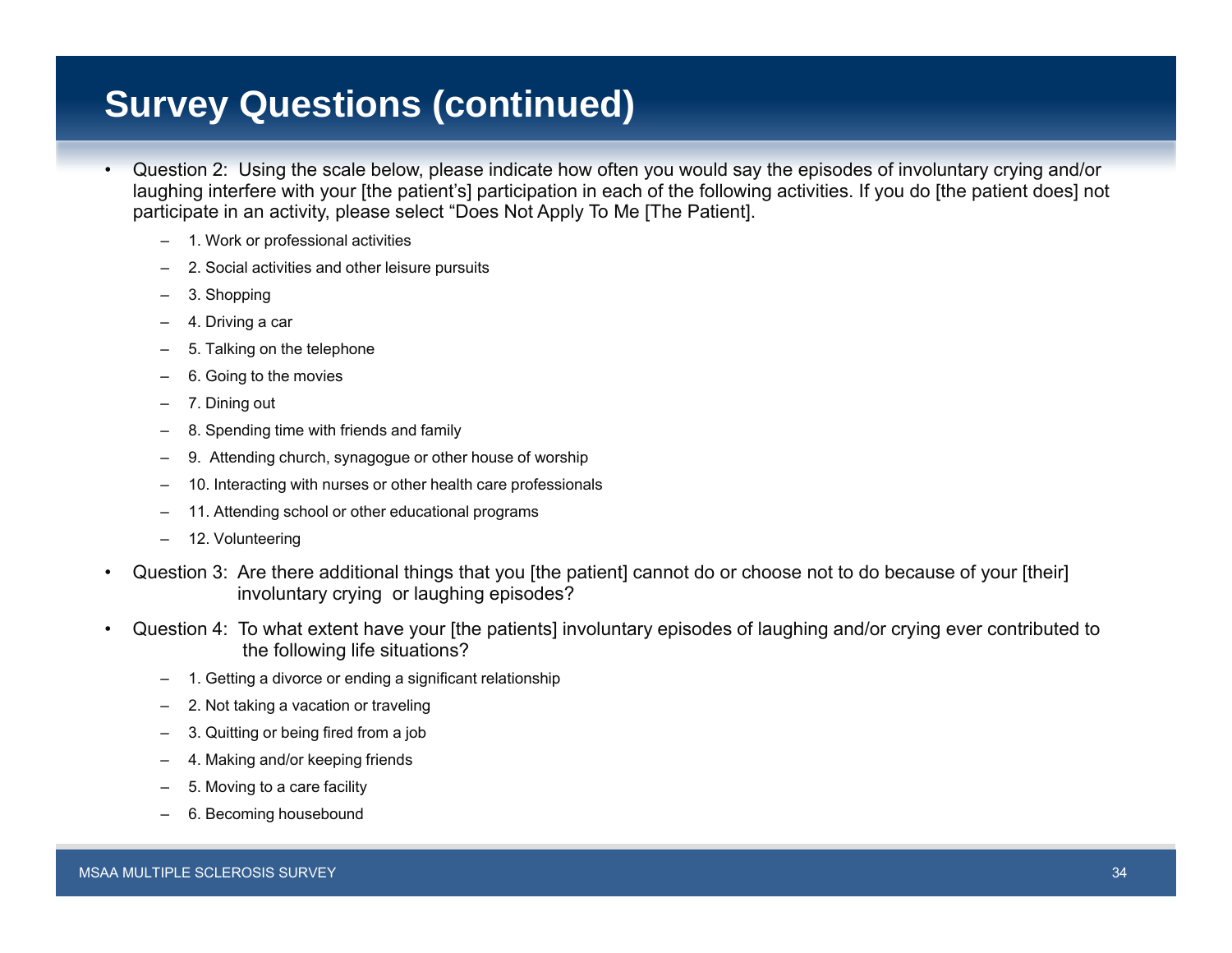## **Survey Questions (continued)**

- •• Question 2: Using the scale below, please indicate how often you would say the episodes of involuntary crying and/or laughing interfere with your [the patient's] participation in each of the following activities. If you do [the patient does] not participate in an activity, please select "Does Not Apply To Me [The Patient].
	- 1. Work or professional activities
	- 2. Social activities and other leisure pursuits
	- 3. Shopping
	- 4. Driving a car
	- 5. Talking on the telephone
	- 6. Going to the movies
	- 7. Dining out
	- 8. Spending time with friends and family
	- 9. Attending church, synagogue or other house of worship
	- –10. Interacting with nurses or other health care professionals
	- –11. Attending school or other educational programs
	- –12. Volunteering
- • Question 3: Are there additional things that you [the patient] cannot do or choose not to do because of your [their] involuntary crying or laughing episodes?
- • Question 4: To what extent have your [the patients] involuntary episodes of laughing and/or crying ever contributed to the following life situations?
	- –1. Getting a divorce or ending a significant relationship
	- –2. Not taking a vacation or traveling
	- 3. Quitting or being fired from a job
	- 4. Making and/or keeping friends
	- 5. Moving to a care facility
	- 6. Becoming housebound